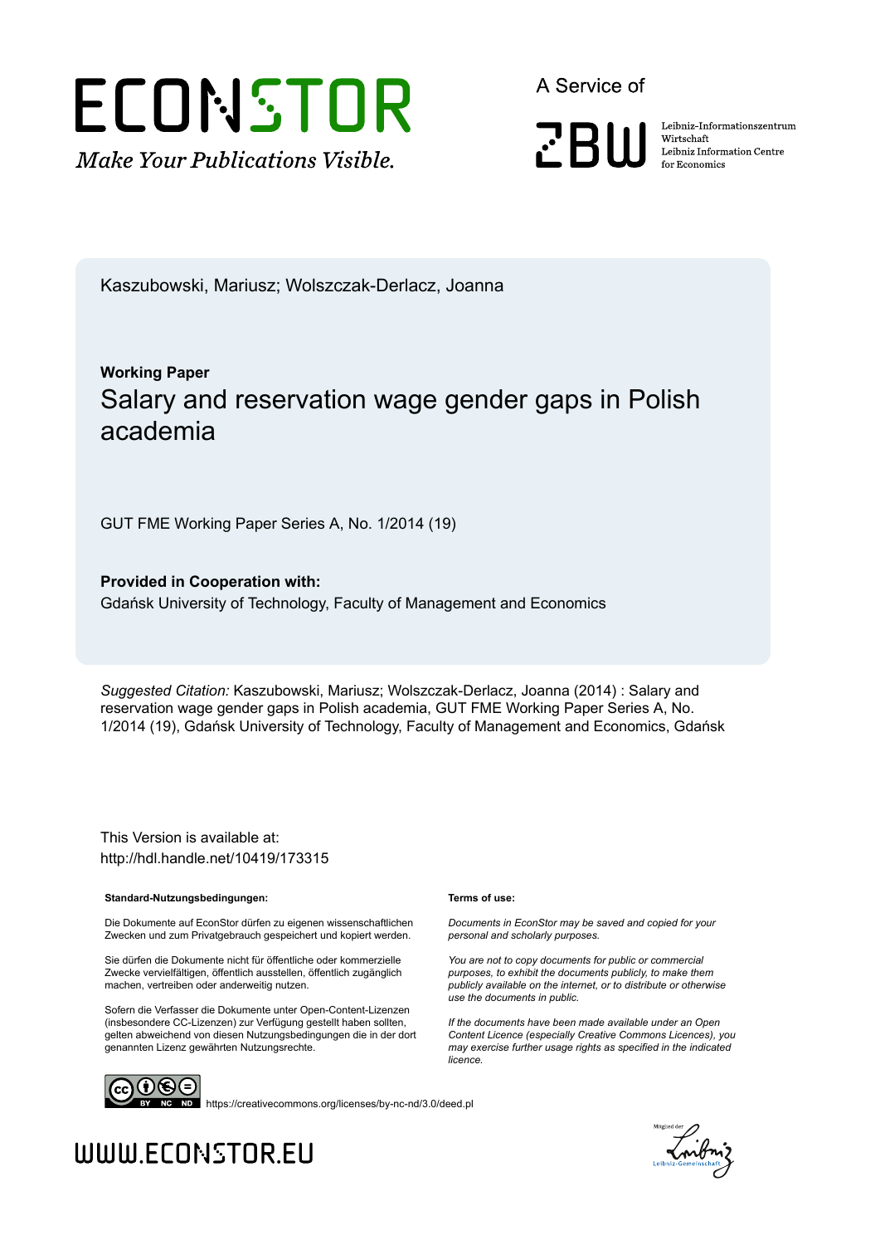# ECONSTOR **Make Your Publications Visible.**

A Service of

**PRIII** 

Leibniz Informationszentrum Wirtschaft Leibniz Information Centre for Economics

Kaszubowski, Mariusz; Wolszczak-Derlacz, Joanna

## **Working Paper** Salary and reservation wage gender gaps in Polish academia

GUT FME Working Paper Series A, No. 1/2014 (19)

**Provided in Cooperation with:** Gdańsk University of Technology, Faculty of Management and Economics

*Suggested Citation:* Kaszubowski, Mariusz; Wolszczak-Derlacz, Joanna (2014) : Salary and reservation wage gender gaps in Polish academia, GUT FME Working Paper Series A, No. 1/2014 (19), Gdańsk University of Technology, Faculty of Management and Economics, Gdańsk

This Version is available at: http://hdl.handle.net/10419/173315

#### **Standard-Nutzungsbedingungen:**

Die Dokumente auf EconStor dürfen zu eigenen wissenschaftlichen Zwecken und zum Privatgebrauch gespeichert und kopiert werden.

Sie dürfen die Dokumente nicht für öffentliche oder kommerzielle Zwecke vervielfältigen, öffentlich ausstellen, öffentlich zugänglich machen, vertreiben oder anderweitig nutzen.

Sofern die Verfasser die Dokumente unter Open-Content-Lizenzen (insbesondere CC-Lizenzen) zur Verfügung gestellt haben sollten, gelten abweichend von diesen Nutzungsbedingungen die in der dort genannten Lizenz gewährten Nutzungsrechte.

#### **Terms of use:**

*Documents in EconStor may be saved and copied for your personal and scholarly purposes.*

*You are not to copy documents for public or commercial purposes, to exhibit the documents publicly, to make them publicly available on the internet, or to distribute or otherwise use the documents in public.*

*If the documents have been made available under an Open Content Licence (especially Creative Commons Licences), you may exercise further usage rights as specified in the indicated licence.*



https://creativecommons.org/licenses/by-nc-nd/3.0/deed.pl



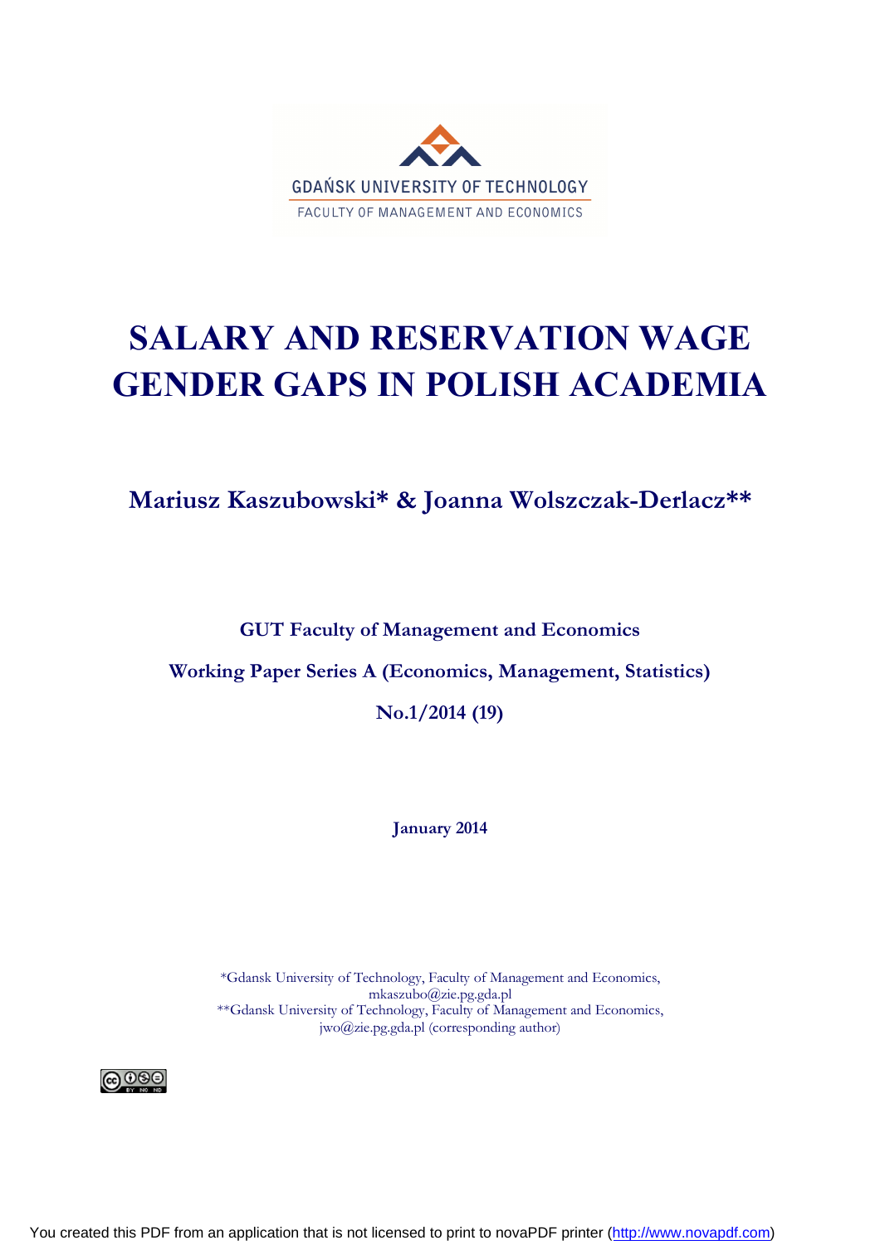

# **SALARY AND RESERVATION WAGE GENDER GAPS IN POLISH ACADEMIA**

**Mariusz Kaszubowski\* & Joanna Wolszczak-Derlacz\*\***

**GUT Faculty of Management and Economics**

**Working Paper Series A (Economics, Management, Statistics)**

**No.1/2014 (19)**

**January 2014**

\*Gdansk University of Technology, Faculty of Management and Economics, mkaszubo@zie.pg.gda.pl \*\*Gdansk University of Technology, Faculty of Management and Economics, jwo@zie.pg.gda.pl (corresponding author)



You created this PDF from an application that is not licensed to print to novaPDF printer ([http://www.novapdf.com\)](http://www.novapdf.com)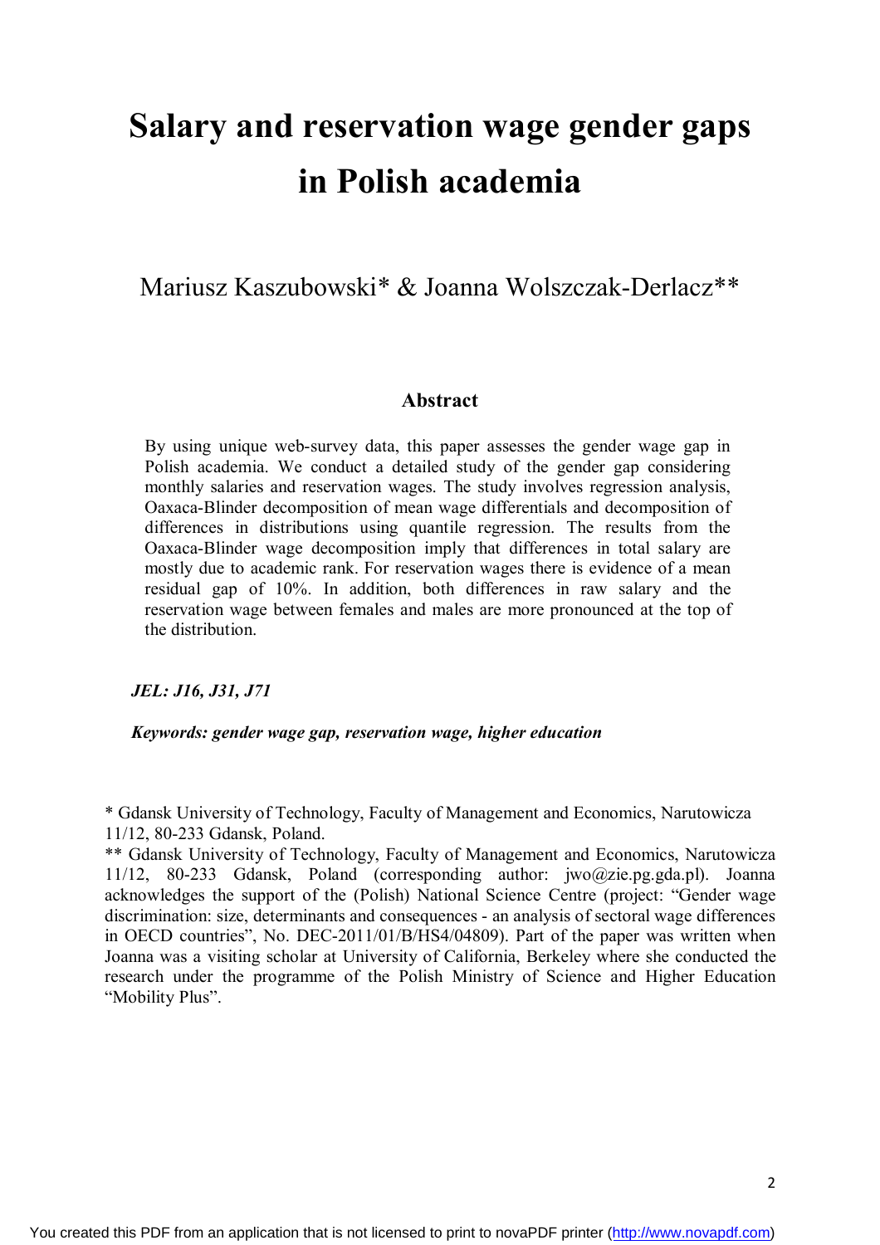# **Salary and reservation wage gender gaps in Polish academia**

Mariusz Kaszubowski\* & Joanna Wolszczak-Derlacz\*\*

#### **Abstract**

By using unique web-survey data, this paper assesses the gender wage gap in Polish academia. We conduct a detailed study of the gender gap considering monthly salaries and reservation wages. The study involves regression analysis, Oaxaca-Blinder decomposition of mean wage differentials and decomposition of differences in distributions using quantile regression. The results from the Oaxaca-Blinder wage decomposition imply that differences in total salary are mostly due to academic rank. For reservation wages there is evidence of a mean residual gap of 10%. In addition, both differences in raw salary and the reservation wage between females and males are more pronounced at the top of the distribution.

*JEL: J16, J31, J71*

#### *Keywords: gender wage gap, reservation wage, higher education*

\* Gdansk University of Technology, Faculty of Management and Economics, Narutowicza 11/12, 80-233 Gdansk, Poland.

\*\* Gdansk University of Technology, Faculty of Management and Economics, Narutowicza 11/12, 80-233 Gdansk, Poland (corresponding author: jwo@zie.pg.gda.pl). Joanna acknowledges the support of the (Polish) National Science Centre (project: "Gender wage discrimination: size, determinants and consequences - an analysis of sectoral wage differences in OECD countries", No. DEC-2011/01/B/HS4/04809). Part of the paper was written when Joanna was a visiting scholar at University of California, Berkeley where she conducted the research under the programme of the Polish Ministry of Science and Higher Education "Mobility Plus".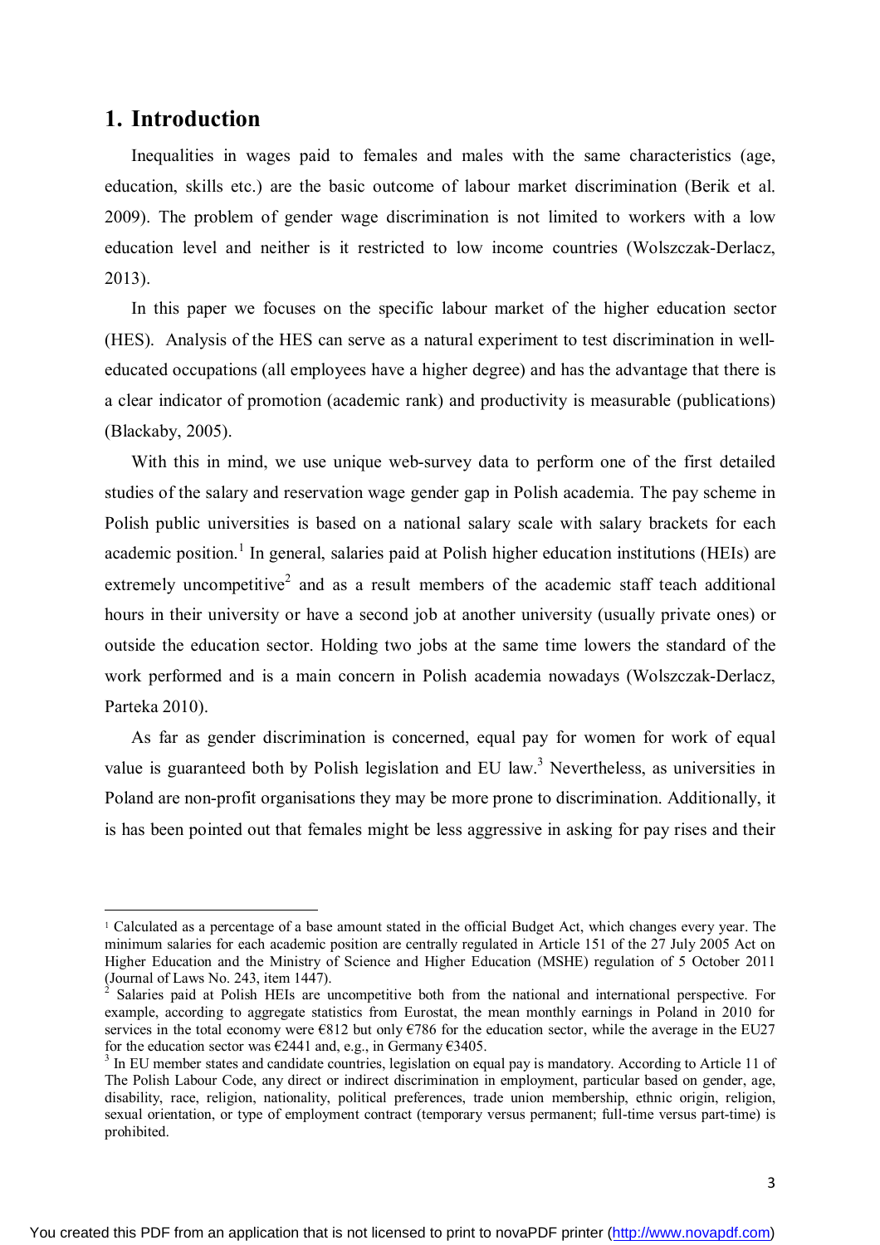### **1. Introduction**

 $\ddot{\phantom{a}}$ 

Inequalities in wages paid to females and males with the same characteristics (age, education, skills etc.) are the basic outcome of labour market discrimination (Berik et al. 2009). The problem of gender wage discrimination is not limited to workers with a low education level and neither is it restricted to low income countries (Wolszczak-Derlacz, 2013).

In this paper we focuses on the specific labour market of the higher education sector (HES). Analysis of the HES can serve as a natural experiment to test discrimination in welleducated occupations (all employees have a higher degree) and has the advantage that there is a clear indicator of promotion (academic rank) and productivity is measurable (publications) (Blackaby, 2005).

With this in mind, we use unique web-survey data to perform one of the first detailed studies of the salary and reservation wage gender gap in Polish academia. The pay scheme in Polish public universities is based on a national salary scale with salary brackets for each academic position.<sup>1</sup> In general, salaries paid at Polish higher education institutions (HEIs) are extremely uncompetitive<sup>2</sup> and as a result members of the academic staff teach additional hours in their university or have a second job at another university (usually private ones) or outside the education sector. Holding two jobs at the same time lowers the standard of the work performed and is a main concern in Polish academia nowadays (Wolszczak-Derlacz, Parteka 2010).

As far as gender discrimination is concerned, equal pay for women for work of equal value is guaranteed both by Polish legislation and EU law.<sup>3</sup> Nevertheless, as universities in Poland are non-profit organisations they may be more prone to discrimination. Additionally, it is has been pointed out that females might be less aggressive in asking for pay rises and their

<sup>1</sup> Calculated as a percentage of a base amount stated in the official Budget Act, which changes every year. The minimum salaries for each academic position are centrally regulated in Article 151 of the 27 July 2005 Act on Higher Education and the Ministry of Science and Higher Education (MSHE) regulation of 5 October 2011 (Journal of Laws No. 243, item 1447).

<sup>2</sup> Salaries paid at Polish HEIs are uncompetitive both from the national and international perspective. For example, according to aggregate statistics from Eurostat, the mean monthly earnings in Poland in 2010 for services in the total economy were  $\epsilon$ 812 but only  $\epsilon$ 786 for the education sector, while the average in the EU27 for the education sector was  $\epsilon$ 2441 and, e.g., in Germany  $\epsilon$ 3405.

<sup>&</sup>lt;sup>3</sup> In EU member states and candidate countries, legislation on equal pay is mandatory. According to Article 11 of The Polish Labour Code, any direct or indirect discrimination in employment, particular based on gender, age, disability, race, religion, nationality, political preferences, trade union membership, ethnic origin, religion, sexual orientation, or type of employment contract (temporary versus permanent; full-time versus part-time) is prohibited.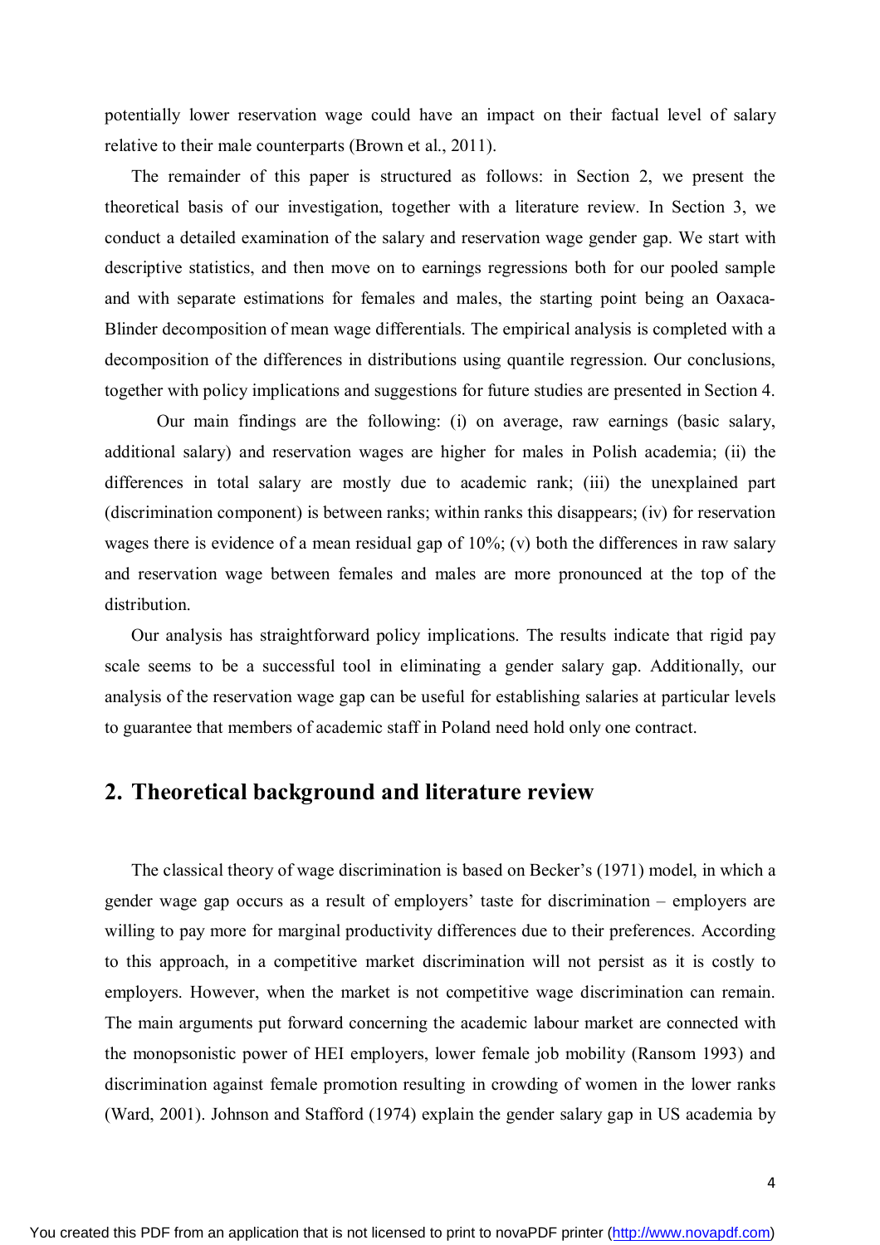potentially lower reservation wage could have an impact on their factual level of salary relative to their male counterparts (Brown et al., 2011).

The remainder of this paper is structured as follows: in Section 2, we present the theoretical basis of our investigation, together with a literature review. In Section 3, we conduct a detailed examination of the salary and reservation wage gender gap. We start with descriptive statistics, and then move on to earnings regressions both for our pooled sample and with separate estimations for females and males, the starting point being an Oaxaca-Blinder decomposition of mean wage differentials. The empirical analysis is completed with a decomposition of the differences in distributions using quantile regression. Our conclusions, together with policy implications and suggestions for future studies are presented in Section 4.

Our main findings are the following: (i) on average, raw earnings (basic salary, additional salary) and reservation wages are higher for males in Polish academia; (ii) the differences in total salary are mostly due to academic rank; (iii) the unexplained part (discrimination component) is between ranks; within ranks this disappears; (iv) for reservation wages there is evidence of a mean residual gap of 10%; (v) both the differences in raw salary and reservation wage between females and males are more pronounced at the top of the distribution.

Our analysis has straightforward policy implications. The results indicate that rigid pay scale seems to be a successful tool in eliminating a gender salary gap. Additionally, our analysis of the reservation wage gap can be useful for establishing salaries at particular levels to guarantee that members of academic staff in Poland need hold only one contract.

## **2. Theoretical background and literature review**

The classical theory of wage discrimination is based on Becker's (1971) model, in which a gender wage gap occurs as a result of employers' taste for discrimination – employers are willing to pay more for marginal productivity differences due to their preferences. According to this approach, in a competitive market discrimination will not persist as it is costly to employers. However, when the market is not competitive wage discrimination can remain. The main arguments put forward concerning the academic labour market are connected with the monopsonistic power of HEI employers, lower female job mobility (Ransom 1993) and discrimination against female promotion resulting in crowding of women in the lower ranks (Ward, 2001). Johnson and Stafford (1974) explain the gender salary gap in US academia by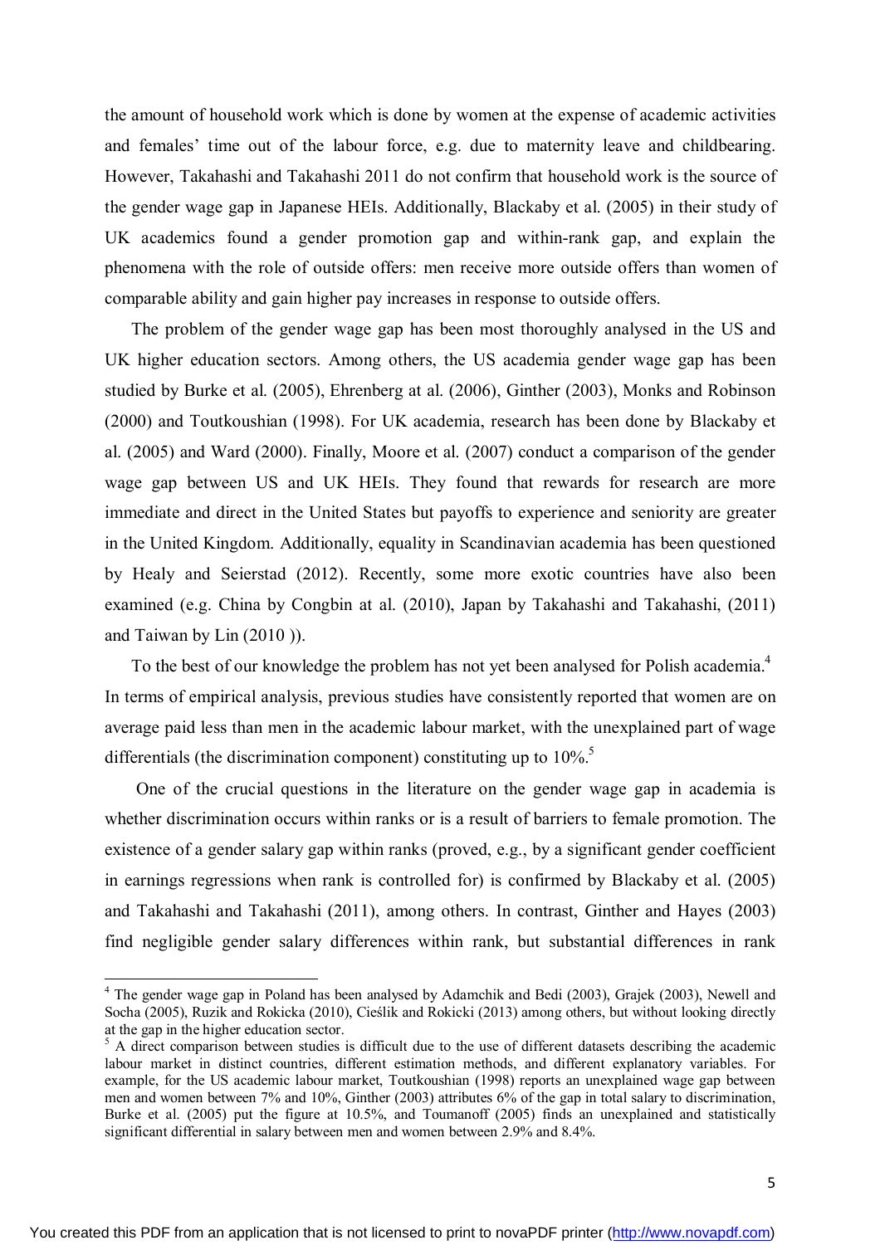the amount of household work which is done by women at the expense of academic activities and females' time out of the labour force, e.g. due to maternity leave and childbearing. However, Takahashi and Takahashi 2011 do not confirm that household work is the source of the gender wage gap in Japanese HEIs. Additionally, Blackaby et al. (2005) in their study of UK academics found a gender promotion gap and within-rank gap, and explain the phenomena with the role of outside offers: men receive more outside offers than women of comparable ability and gain higher pay increases in response to outside offers.

The problem of the gender wage gap has been most thoroughly analysed in the US and UK higher education sectors. Among others, the US academia gender wage gap has been studied by Burke et al. (2005), Ehrenberg at al. (2006), Ginther (2003), Monks and Robinson (2000) and Toutkoushian (1998). For UK academia, research has been done by Blackaby et al. (2005) and Ward (2000). Finally, Moore et al. (2007) conduct a comparison of the gender wage gap between US and UK HEIs. They found that rewards for research are more immediate and direct in the United States but payoffs to experience and seniority are greater in the United Kingdom. Additionally, equality in Scandinavian academia has been questioned by Healy and Seierstad (2012). Recently, some more exotic countries have also been examined (e.g. China by Congbin at al. (2010), Japan by Takahashi and Takahashi, (2011) and Taiwan by Lin (2010 )).

To the best of our knowledge the problem has not yet been analysed for Polish academia.<sup>4</sup> In terms of empirical analysis, previous studies have consistently reported that women are on average paid less than men in the academic labour market, with the unexplained part of wage differentials (the discrimination component) constituting up to  $10\%$ <sup>5</sup>

One of the crucial questions in the literature on the gender wage gap in academia is whether discrimination occurs within ranks or is a result of barriers to female promotion. The existence of a gender salary gap within ranks (proved, e.g., by a significant gender coefficient in earnings regressions when rank is controlled for) is confirmed by Blackaby et al. (2005) and Takahashi and Takahashi (2011), among others. In contrast, Ginther and Hayes (2003) find negligible gender salary differences within rank, but substantial differences in rank

 $\ddot{\phantom{a}}$ 

<sup>&</sup>lt;sup>4</sup> The gender wage gap in Poland has been analysed by Adamchik and Bedi (2003), Grajek (2003), Newell and Socha (2005), Ruzik and Rokicka (2010), Cieślik and Rokicki (2013) among others, but without looking directly at the gap in the higher education sector.

 $5 A$  direct comparison between studies is difficult due to the use of different datasets describing the academic labour market in distinct countries, different estimation methods, and different explanatory variables. For example, for the US academic labour market, Toutkoushian (1998) reports an unexplained wage gap between men and women between 7% and 10%, Ginther (2003) attributes 6% of the gap in total salary to discrimination, Burke et al. (2005) put the figure at 10.5%, and Toumanoff (2005) finds an unexplained and statistically significant differential in salary between men and women between 2.9% and 8.4%.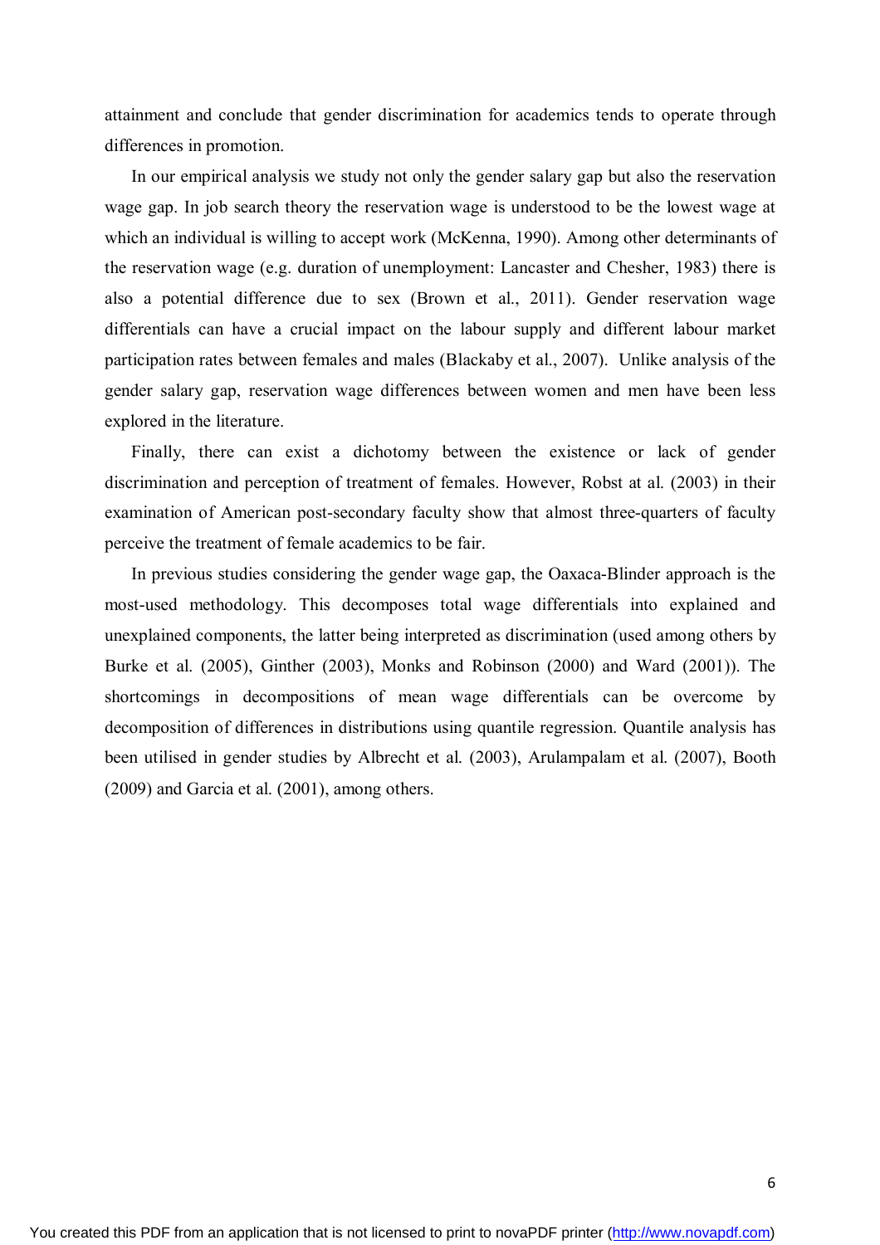attainment and conclude that gender discrimination for academics tends to operate through differences in promotion.

In our empirical analysis we study not only the gender salary gap but also the reservation wage gap. In job search theory the reservation wage is understood to be the lowest wage at which an individual is willing to accept work (McKenna, 1990). Among other determinants of the reservation wage (e.g. duration of unemployment: Lancaster and Chesher, 1983) there is also a potential difference due to sex (Brown et al., 2011). Gender reservation wage differentials can have a crucial impact on the labour supply and different labour market participation rates between females and males (Blackaby et al., 2007). Unlike analysis of the gender salary gap, reservation wage differences between women and men have been less explored in the literature.

Finally, there can exist a dichotomy between the existence or lack of gender discrimination and perception of treatment of females. However, Robst at al. (2003) in their examination of American post-secondary faculty show that almost three-quarters of faculty perceive the treatment of female academics to be fair.

In previous studies considering the gender wage gap, the Oaxaca-Blinder approach is the most-used methodology. This decomposes total wage differentials into explained and unexplained components, the latter being interpreted as discrimination (used among others by Burke et al. (2005), Ginther (2003), Monks and Robinson (2000) and Ward (2001)). The shortcomings in decompositions of mean wage differentials can be overcome by decomposition of differences in distributions using quantile regression. Quantile analysis has been utilised in gender studies by Albrecht et al. (2003), Arulampalam et al. (2007), Booth (2009) and Garcia et al. (2001), among others.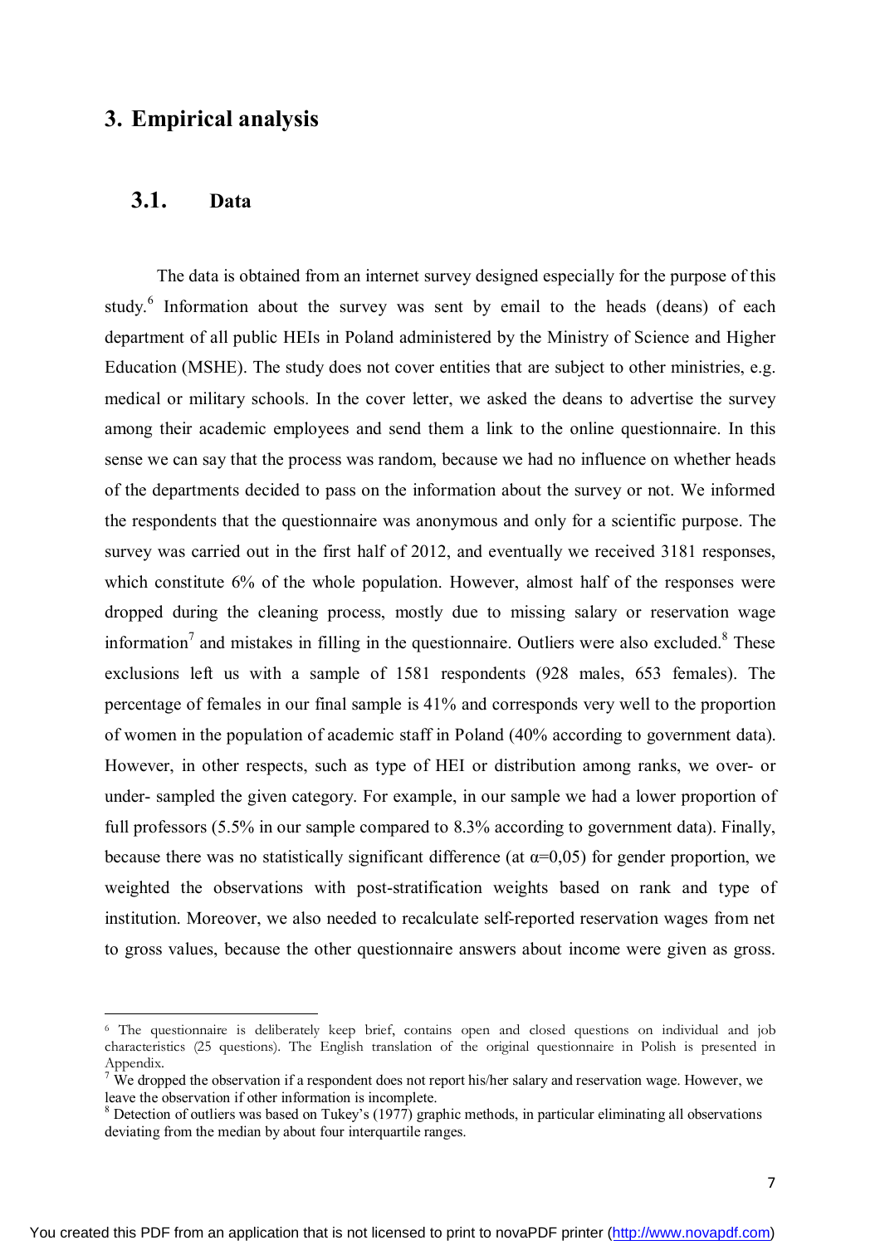## **3. Empirical analysis**

#### **3.1. Data**

 $\overline{a}$ 

The data is obtained from an internet survey designed especially for the purpose of this study.<sup>6</sup> Information about the survey was sent by email to the heads (deans) of each department of all public HEIs in Poland administered by the Ministry of Science and Higher Education (MSHE). The study does not cover entities that are subject to other ministries, e.g. medical or military schools. In the cover letter, we asked the deans to advertise the survey among their academic employees and send them a link to the online questionnaire. In this sense we can say that the process was random, because we had no influence on whether heads of the departments decided to pass on the information about the survey or not. We informed the respondents that the questionnaire was anonymous and only for a scientific purpose. The survey was carried out in the first half of 2012, and eventually we received 3181 responses, which constitute 6% of the whole population. However, almost half of the responses were dropped during the cleaning process, mostly due to missing salary or reservation wage information<sup>7</sup> and mistakes in filling in the questionnaire. Outliers were also excluded.<sup>8</sup> These exclusions left us with a sample of 1581 respondents (928 males, 653 females). The percentage of females in our final sample is 41% and corresponds very well to the proportion of women in the population of academic staff in Poland (40% according to government data). However, in other respects, such as type of HEI or distribution among ranks, we over- or under- sampled the given category. For example, in our sample we had a lower proportion of full professors (5.5% in our sample compared to 8.3% according to government data). Finally, because there was no statistically significant difference (at  $\alpha$ =0,05) for gender proportion, we weighted the observations with post-stratification weights based on rank and type of institution. Moreover, we also needed to recalculate self-reported reservation wages from net to gross values, because the other questionnaire answers about income were given as gross.

<sup>6</sup> The questionnaire is deliberately keep brief, contains open and closed questions on individual and job characteristics (25 questions). The English translation of the original questionnaire in Polish is presented in Appendix.

<sup>&</sup>lt;sup>7</sup> We dropped the observation if a respondent does not report his/her salary and reservation wage. However, we leave the observation if other information is incomplete.

<sup>&</sup>lt;sup>8</sup> Detection of outliers was based on Tukey's (1977) graphic methods, in particular eliminating all observations deviating from the median by about four interquartile ranges.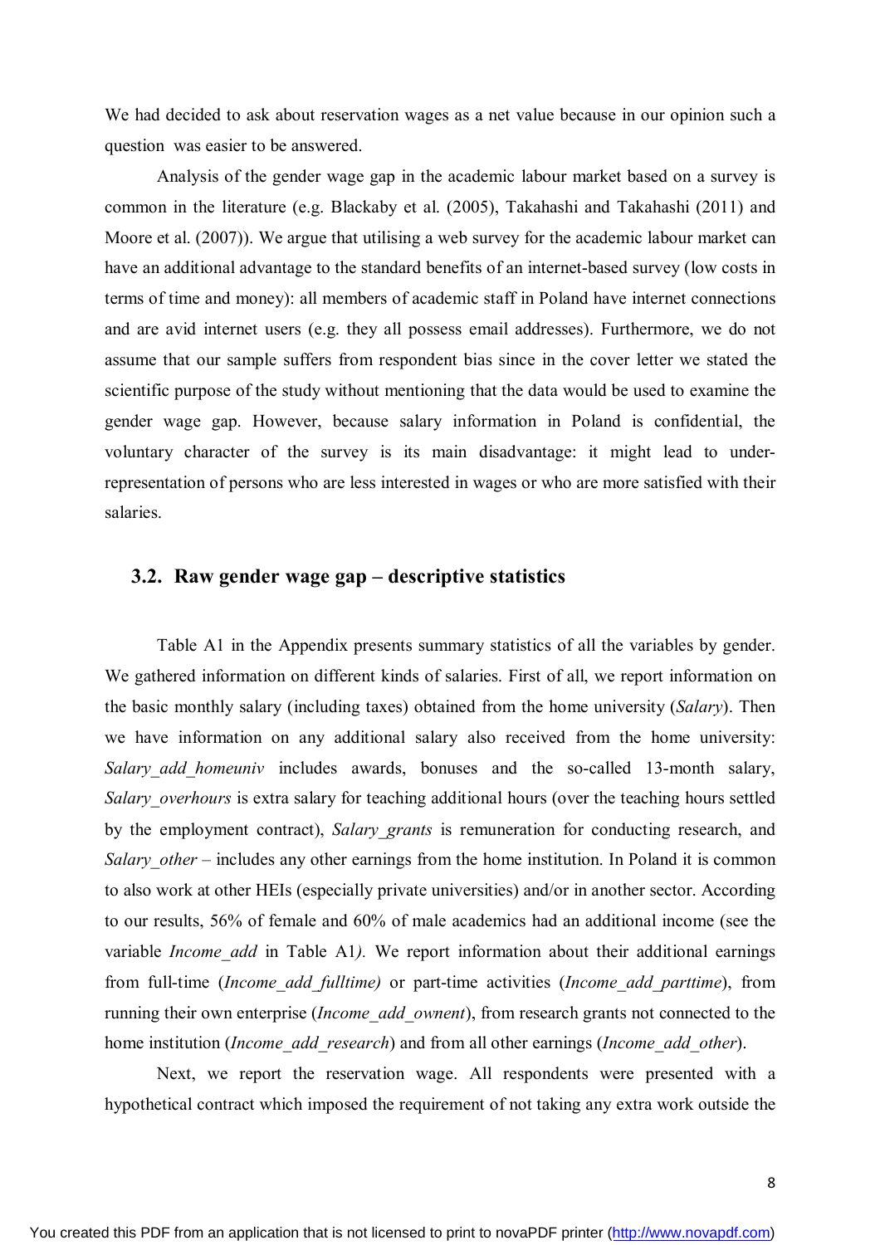We had decided to ask about reservation wages as a net value because in our opinion such a question was easier to be answered.

Analysis of the gender wage gap in the academic labour market based on a survey is common in the literature (e.g. Blackaby et al. (2005), Takahashi and Takahashi (2011) and Moore et al. (2007)). We argue that utilising a web survey for the academic labour market can have an additional advantage to the standard benefits of an internet-based survey (low costs in terms of time and money): all members of academic staff in Poland have internet connections and are avid internet users (e.g. they all possess email addresses). Furthermore, we do not assume that our sample suffers from respondent bias since in the cover letter we stated the scientific purpose of the study without mentioning that the data would be used to examine the gender wage gap. However, because salary information in Poland is confidential, the voluntary character of the survey is its main disadvantage: it might lead to underrepresentation of persons who are less interested in wages or who are more satisfied with their salaries.

#### **3.2. Raw gender wage gap – descriptive statistics**

Table A1 in the Appendix presents summary statistics of all the variables by gender. We gathered information on different kinds of salaries. First of all, we report information on the basic monthly salary (including taxes) obtained from the home university (*Salary*). Then we have information on any additional salary also received from the home university: *Salary\_add\_homeuniv* includes awards, bonuses and the so-called 13-month salary, *Salary\_overhours* is extra salary for teaching additional hours (over the teaching hours settled by the employment contract), *Salary\_grants* is remuneration for conducting research, and *Salary other –* includes any other earnings from the home institution. In Poland it is common to also work at other HEIs (especially private universities) and/or in another sector. According to our results, 56% of female and 60% of male academics had an additional income (see the variable *Income add* in Table A1). We report information about their additional earnings from full-time (*Income\_add\_fulltime)* or part-time activities (*Income\_add\_parttime*), from running their own enterprise (*Income\_add\_ownent*), from research grants not connected to the home institution (*Income\_add\_research*) and from all other earnings (*Income\_add\_other*).

Next, we report the reservation wage. All respondents were presented with a hypothetical contract which imposed the requirement of not taking any extra work outside the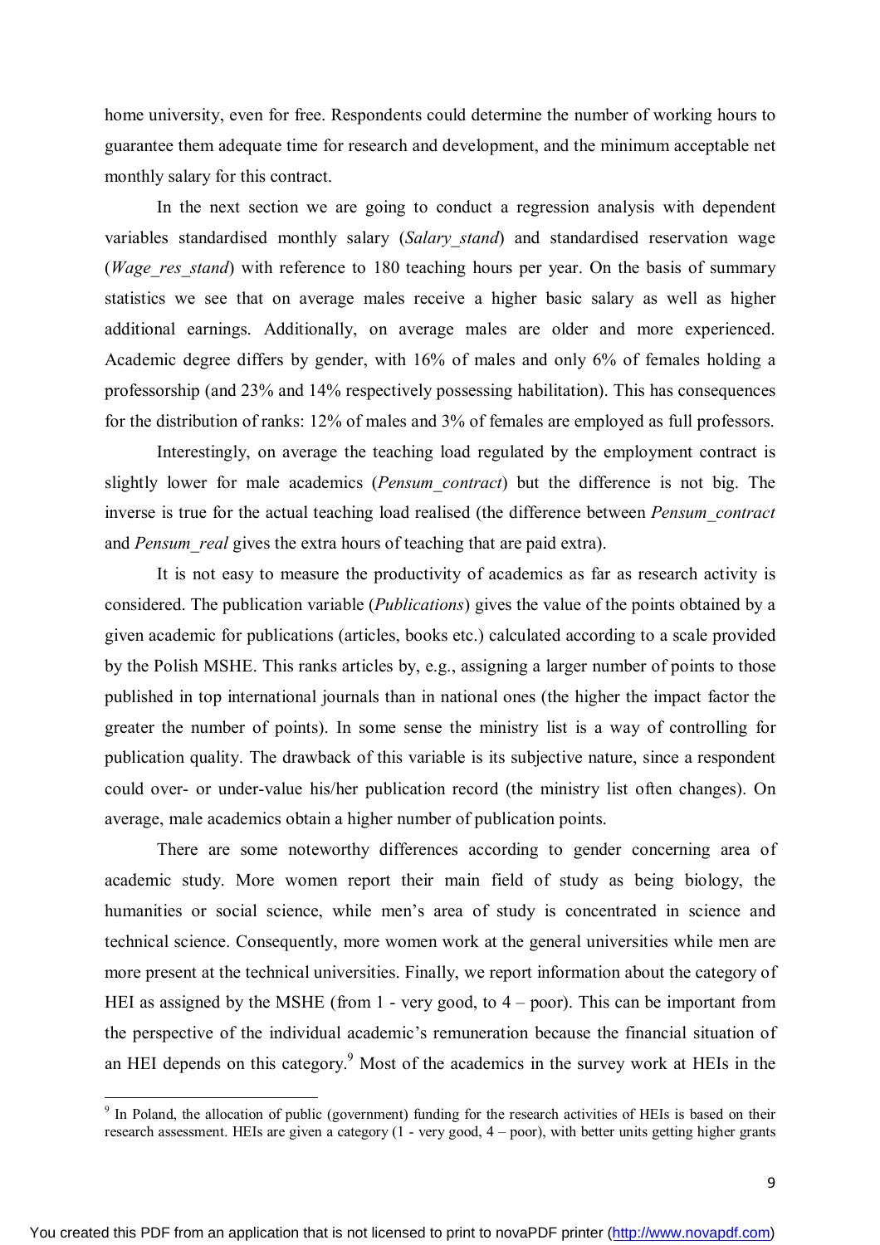home university, even for free. Respondents could determine the number of working hours to guarantee them adequate time for research and development, and the minimum acceptable net monthly salary for this contract.

In the next section we are going to conduct a regression analysis with dependent variables standardised monthly salary (*Salary\_stand*) and standardised reservation wage (*Wage res stand*) with reference to 180 teaching hours per year. On the basis of summary statistics we see that on average males receive a higher basic salary as well as higher additional earnings. Additionally, on average males are older and more experienced. Academic degree differs by gender, with 16% of males and only 6% of females holding a professorship (and 23% and 14% respectively possessing habilitation). This has consequences for the distribution of ranks: 12% of males and 3% of females are employed as full professors.

Interestingly, on average the teaching load regulated by the employment contract is slightly lower for male academics (*Pensum\_contract*) but the difference is not big. The inverse is true for the actual teaching load realised (the difference between *Pensum\_contract* and *Pensum\_real* gives the extra hours of teaching that are paid extra).

It is not easy to measure the productivity of academics as far as research activity is considered. The publication variable (*Publications*) gives the value of the points obtained by a given academic for publications (articles, books etc.) calculated according to a scale provided by the Polish MSHE. This ranks articles by, e.g., assigning a larger number of points to those published in top international journals than in national ones (the higher the impact factor the greater the number of points). In some sense the ministry list is a way of controlling for publication quality. The drawback of this variable is its subjective nature, since a respondent could over- or under-value his/her publication record (the ministry list often changes). On average, male academics obtain a higher number of publication points.

There are some noteworthy differences according to gender concerning area of academic study. More women report their main field of study as being biology, the humanities or social science, while men's area of study is concentrated in science and technical science. Consequently, more women work at the general universities while men are more present at the technical universities. Finally, we report information about the category of HEI as assigned by the MSHE (from 1 - very good, to 4 – poor). This can be important from the perspective of the individual academic's remuneration because the financial situation of an HEI depends on this category.<sup>9</sup> Most of the academics in the survey work at HEIs in the

 $\overline{a}$ 

<sup>&</sup>lt;sup>9</sup> In Poland, the allocation of public (government) funding for the research activities of HEIs is based on their research assessment. HEIs are given a category  $(1 - \text{very good}, 4 - \text{poor})$ , with better units getting higher grants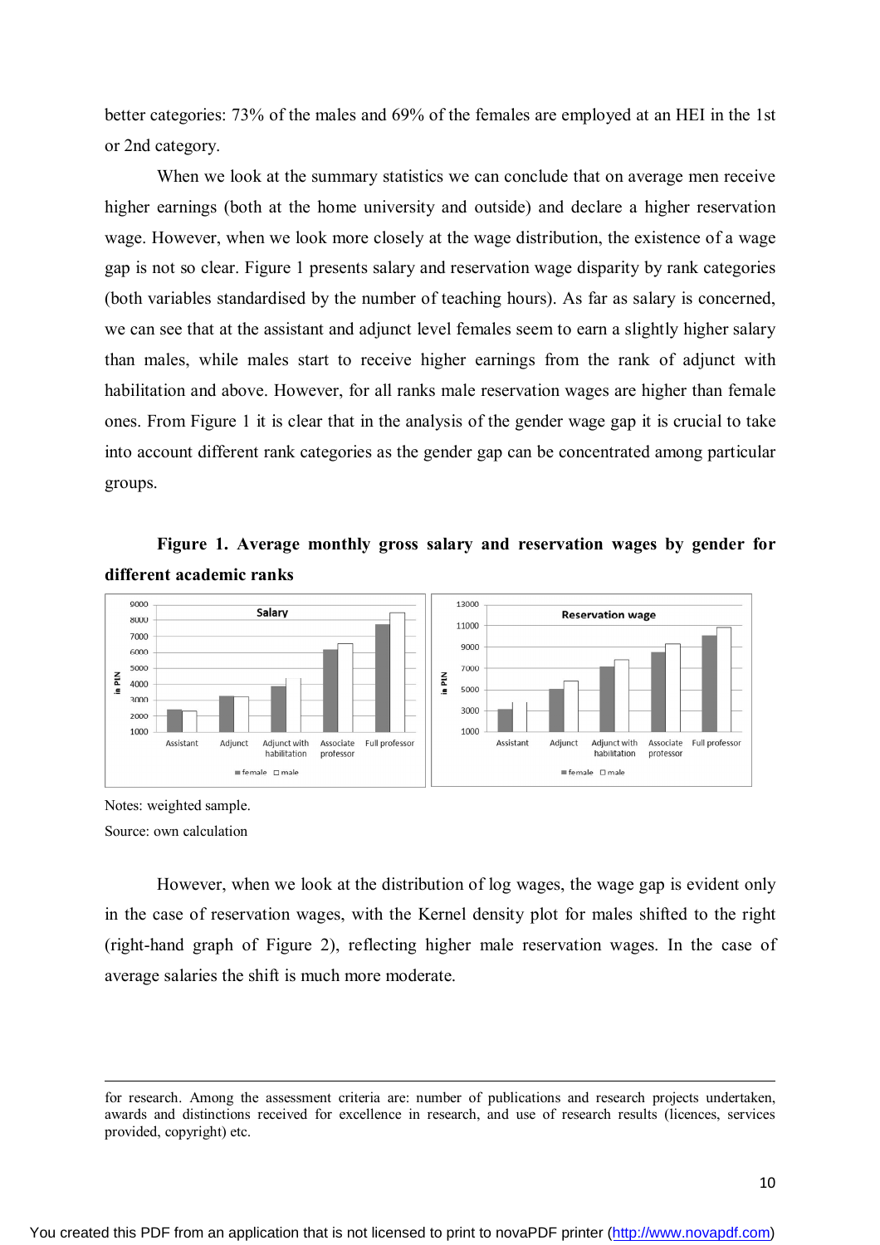better categories: 73% of the males and 69% of the females are employed at an HEI in the 1st or 2nd category.

When we look at the summary statistics we can conclude that on average men receive higher earnings (both at the home university and outside) and declare a higher reservation wage. However, when we look more closely at the wage distribution, the existence of a wage gap is not so clear. Figure 1 presents salary and reservation wage disparity by rank categories (both variables standardised by the number of teaching hours). As far as salary is concerned, we can see that at the assistant and adjunct level females seem to earn a slightly higher salary than males, while males start to receive higher earnings from the rank of adjunct with habilitation and above. However, for all ranks male reservation wages are higher than female ones. From Figure 1 it is clear that in the analysis of the gender wage gap it is crucial to take into account different rank categories as the gender gap can be concentrated among particular groups.

## **Figure 1. Average monthly gross salary and reservation wages by gender for different academic ranks**



Notes: weighted sample. Source: own calculation

**.** 

However, when we look at the distribution of log wages, the wage gap is evident only in the case of reservation wages, with the Kernel density plot for males shifted to the right (right-hand graph of Figure 2), reflecting higher male reservation wages. In the case of average salaries the shift is much more moderate.

for research. Among the assessment criteria are: number of publications and research projects undertaken, awards and distinctions received for excellence in research, and use of research results (licences, services provided, copyright) etc.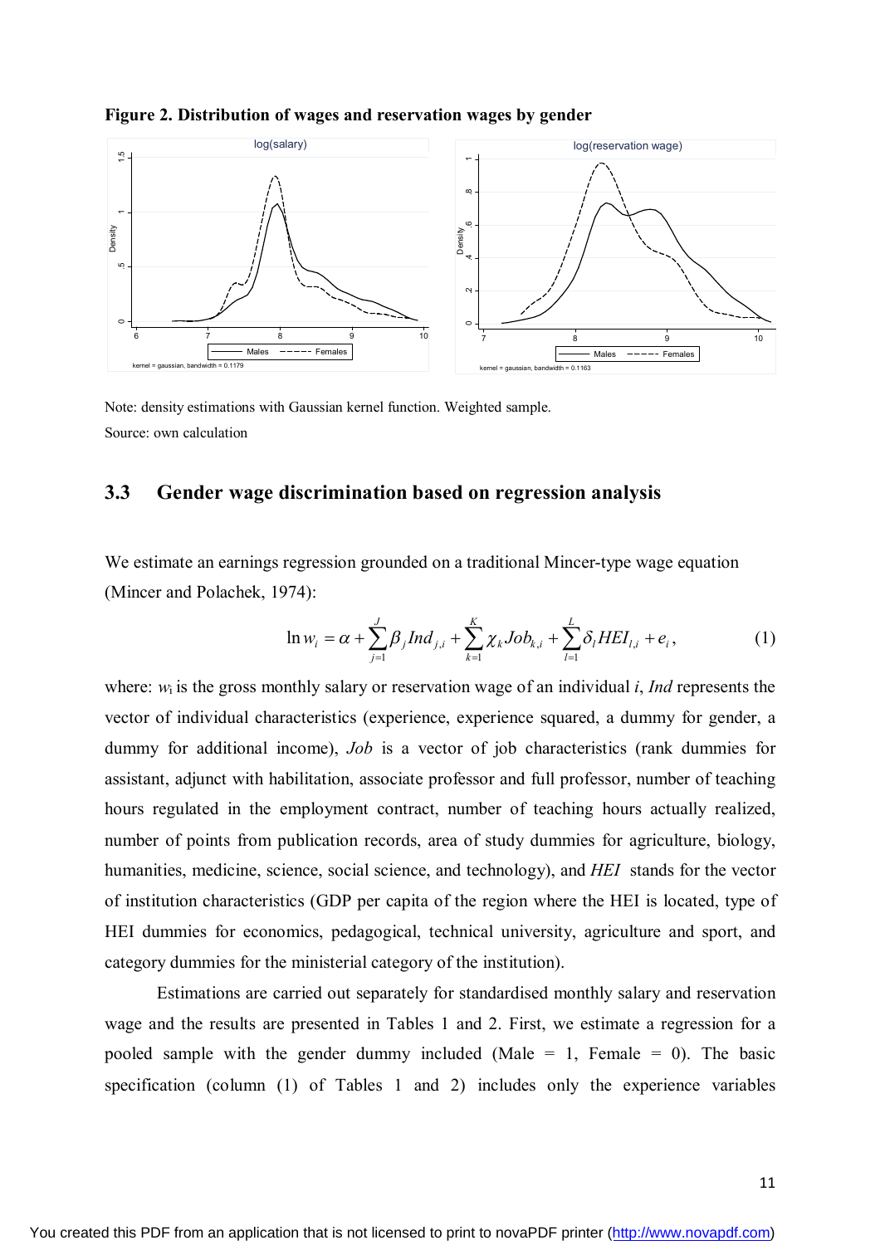

**Figure 2. Distribution of wages and reservation wages by gender**

Note: density estimations with Gaussian kernel function. Weighted sample. Source: own calculation

#### **3.3 Gender wage discrimination based on regression analysis**

We estimate an earnings regression grounded on a traditional Mincer-type wage equation (Mincer and Polachek, 1974):

$$
\ln w_i = \alpha + \sum_{j=1}^{J} \beta_j Ind_{j,i} + \sum_{k=1}^{K} \chi_k Job_{k,i} + \sum_{l=1}^{L} \delta_l HEL_{l,i} + e_i, \qquad (1)
$$

where:  $w_i$  is the gross monthly salary or reservation wage of an individual *i*, *Ind* represents the vector of individual characteristics (experience, experience squared, a dummy for gender, a dummy for additional income), *Job* is a vector of job characteristics (rank dummies for assistant, adjunct with habilitation, associate professor and full professor, number of teaching hours regulated in the employment contract, number of teaching hours actually realized, number of points from publication records, area of study dummies for agriculture, biology, humanities, medicine, science, social science, and technology), and *HEI* stands for the vector of institution characteristics (GDP per capita of the region where the HEI is located, type of HEI dummies for economics, pedagogical, technical university, agriculture and sport, and category dummies for the ministerial category of the institution).

Estimations are carried out separately for standardised monthly salary and reservation wage and the results are presented in Tables 1 and 2. First, we estimate a regression for a pooled sample with the gender dummy included (Male  $= 1$ , Female  $= 0$ ). The basic specification (column (1) of Tables 1 and 2) includes only the experience variables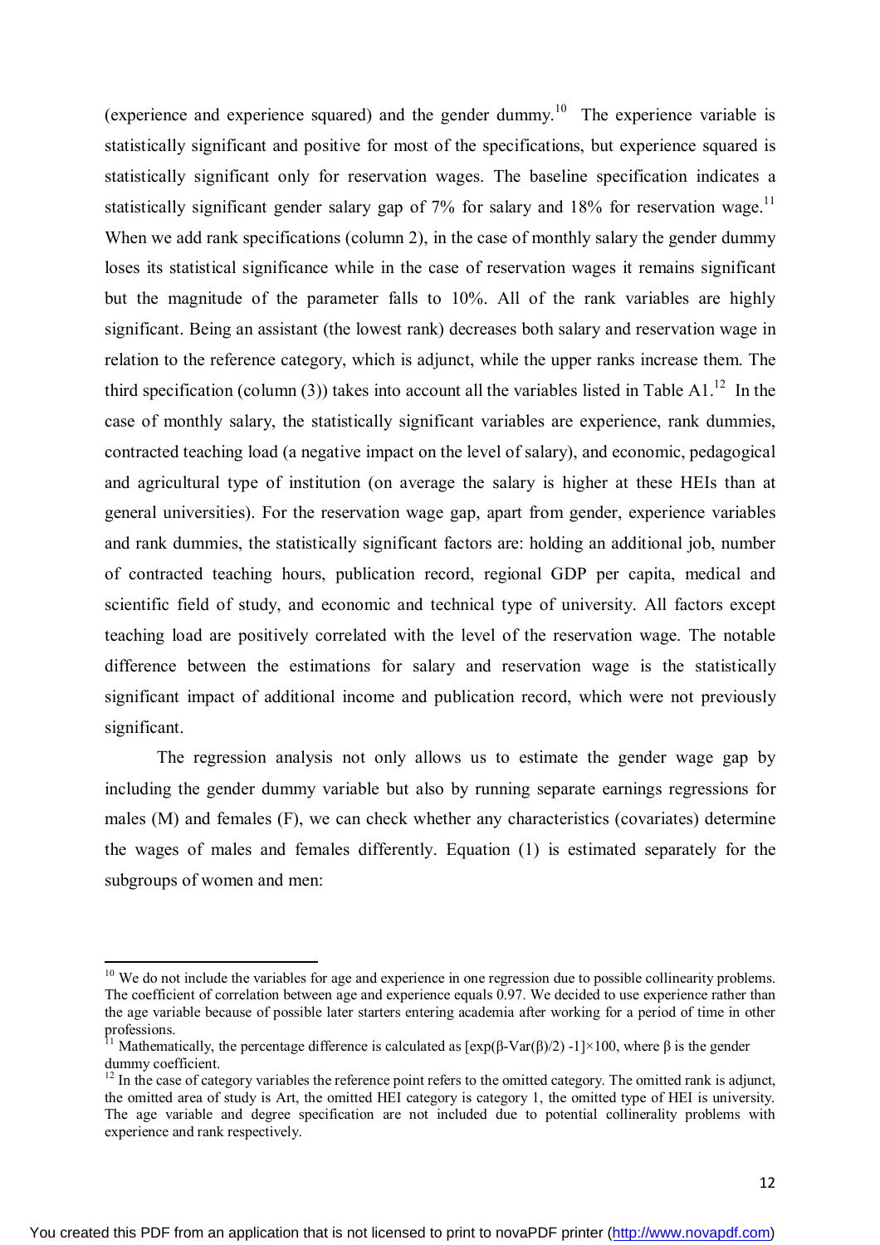(experience and experience squared) and the gender dummy.<sup>10</sup> The experience variable is statistically significant and positive for most of the specifications, but experience squared is statistically significant only for reservation wages. The baseline specification indicates a statistically significant gender salary gap of 7% for salary and 18% for reservation wage.<sup>11</sup> When we add rank specifications (column 2), in the case of monthly salary the gender dummy loses its statistical significance while in the case of reservation wages it remains significant but the magnitude of the parameter falls to 10%. All of the rank variables are highly significant. Being an assistant (the lowest rank) decreases both salary and reservation wage in relation to the reference category, which is adjunct, while the upper ranks increase them. The third specification (column (3)) takes into account all the variables listed in Table A1.<sup>12</sup> In the case of monthly salary, the statistically significant variables are experience, rank dummies, contracted teaching load (a negative impact on the level of salary), and economic, pedagogical and agricultural type of institution (on average the salary is higher at these HEIs than at general universities). For the reservation wage gap, apart from gender, experience variables and rank dummies, the statistically significant factors are: holding an additional job, number of contracted teaching hours, publication record, regional GDP per capita, medical and scientific field of study, and economic and technical type of university. All factors except teaching load are positively correlated with the level of the reservation wage. The notable difference between the estimations for salary and reservation wage is the statistically significant impact of additional income and publication record, which were not previously significant.

The regression analysis not only allows us to estimate the gender wage gap by including the gender dummy variable but also by running separate earnings regressions for males (M) and females (F), we can check whether any characteristics (covariates) determine the wages of males and females differently. Equation (1) is estimated separately for the subgroups of women and men:

1

<sup>&</sup>lt;sup>10</sup> We do not include the variables for age and experience in one regression due to possible collinearity problems. The coefficient of correlation between age and experience equals 0.97. We decided to use experience rather than the age variable because of possible later starters entering academia after working for a period of time in other professions.

<sup>&</sup>lt;sup>11</sup> Mathematically, the percentage difference is calculated as  $[exp(β-Var(β)/2) -1] \times 100$ , where β is the gender dummy coefficient.

 $12$  In the case of category variables the reference point refers to the omitted category. The omitted rank is adjunct, the omitted area of study is Art, the omitted HEI category is category 1, the omitted type of HEI is university. The age variable and degree specification are not included due to potential collinerality problems with experience and rank respectively.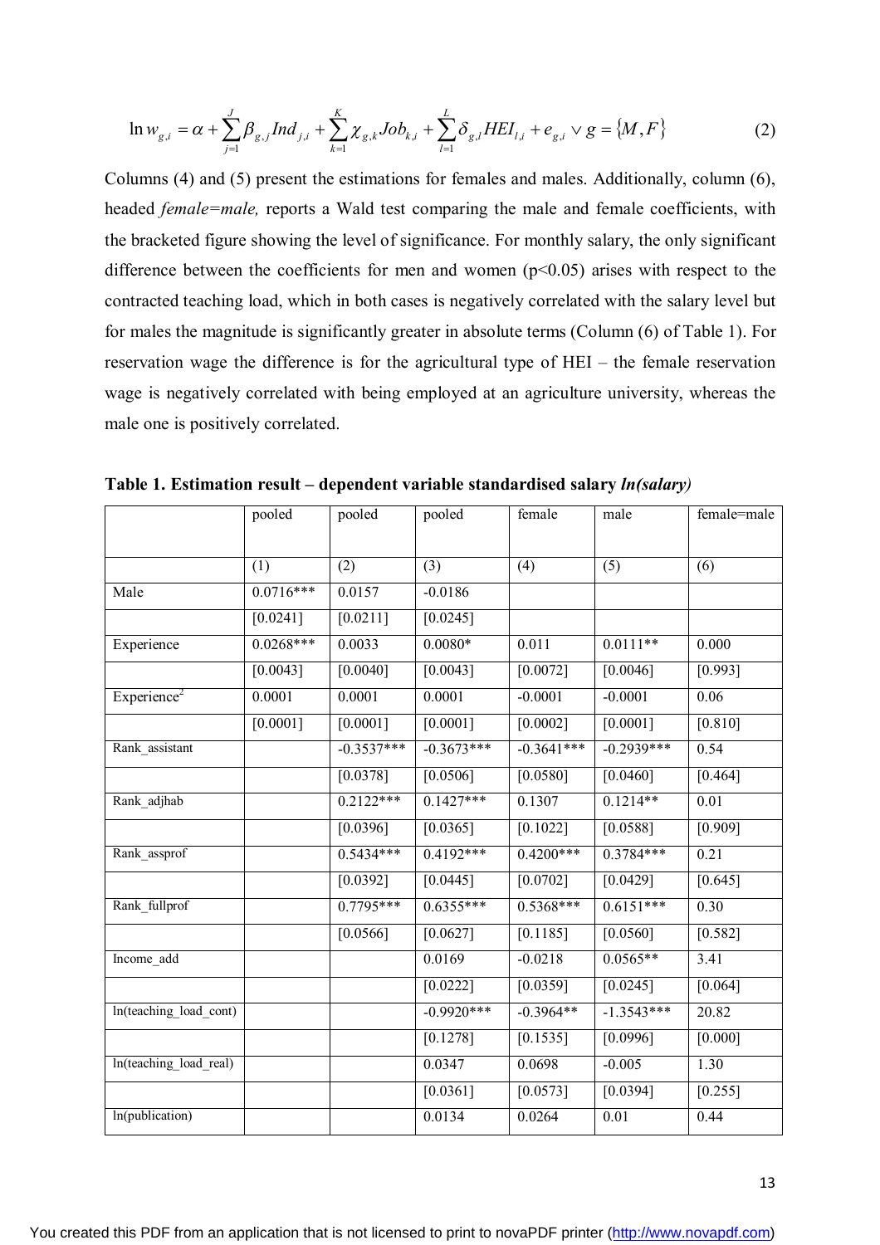$$
\ln w_{g,i} = \alpha + \sum_{j=1}^{J} \beta_{g,j} Ind_{j,i} + \sum_{k=1}^{K} \chi_{g,k} Job_{k,i} + \sum_{l=1}^{L} \delta_{g,l} HEL_{l,i} + e_{g,i} \vee g = \{M, F\}
$$
 (2)

Columns (4) and (5) present the estimations for females and males. Additionally, column (6), headed *female=male,* reports a Wald test comparing the male and female coefficients, with the bracketed figure showing the level of significance. For monthly salary, the only significant difference between the coefficients for men and women  $(p<0.05)$  arises with respect to the contracted teaching load, which in both cases is negatively correlated with the salary level but for males the magnitude is significantly greater in absolute terms (Column (6) of Table 1). For reservation wage the difference is for the agricultural type of HEI – the female reservation wage is negatively correlated with being employed at an agriculture university, whereas the male one is positively correlated.

|                         | pooled      | pooled       | female<br>pooled |              | male              | female=male       |
|-------------------------|-------------|--------------|------------------|--------------|-------------------|-------------------|
|                         |             |              |                  |              |                   |                   |
|                         | (1)         | (2)          | (3)              | (4)          | (5)               | (6)               |
| Male                    | $0.0716***$ | 0.0157       | $-0.0186$        |              |                   |                   |
|                         | [0.0241]    | [0.0211]     | [0.0245]         |              |                   |                   |
| Experience              | $0.0268***$ | 0.0033       | $0.0080*$        | 0.011        | $0.0111**$        | 0.000             |
|                         | [0.0043]    | [0.0040]     | [0.0043]         | [0.0072]     | [0.0046]          | [0.993]           |
| Experience <sup>2</sup> | 0.0001      | 0.0001       | 0.0001           | $-0.0001$    | $-0.0001$         | 0.06              |
|                         | [0.0001]    | [0.0001]     | [0.0001]         | [0.0002]     | [0.0001]          | [0.810]           |
| Rank assistant          |             | $-0.3537***$ | $-0.3673***$     | $-0.3641***$ | $-0.2939***$      | 0.54              |
|                         |             | $[0.0378]$   | [0.0506]         | [0.0580]     | [0.0460]          | [0.464]           |
| Rank adjhab             |             | $0.2122***$  | $0.1427***$      | 0.1307       | $0.1214**$        | $\overline{0.01}$ |
|                         |             | [0.0396]     | [0.0365]         | [0.1022]     | [0.0588]          | [0.909]           |
| Rank assprof            |             | $0.5434***$  | $0.4192***$      | $0.4200***$  | $0.3784***$       | 0.21              |
|                         |             | [0.0392]     | [0.0445]         | [0.0702]     | $[0.0429]$        | [0.645]           |
| Rank_fullprof           |             | $0.7795***$  | $0.6355***$      | $0.5368***$  | $0.6151***$       | 0.30              |
|                         |             | [0.0566]     | [0.0627]         | [0.1185]     | [0.0560]          | [0.582]           |
| Income_add              |             |              | 0.0169           | $-0.0218$    | $0.0565**$        | 3.41              |
|                         |             |              | [0.0222]         | [0.0359]     | [0.0245]          | [0.064]           |
| In(teaching load cont)  |             |              | $-0.9920***$     | $-0.3964**$  | $-1.3543***$      | 20.82             |
|                         |             |              | [0.1278]         | [0.1535]     | [0.0996]          | [0.000]           |
| In(teaching load real)  |             |              | 0.0347           | 0.0698       | $-0.005$          | 1.30              |
|                         |             |              | [0.0361]         | [0.0573]     | [0.0394]          | [0.255]           |
| In(publication)         |             |              | 0.0134           | 0.0264       | $\overline{0.01}$ | 0.44              |

**Table 1. Estimation result – dependent variable standardised salary** *ln(salary)*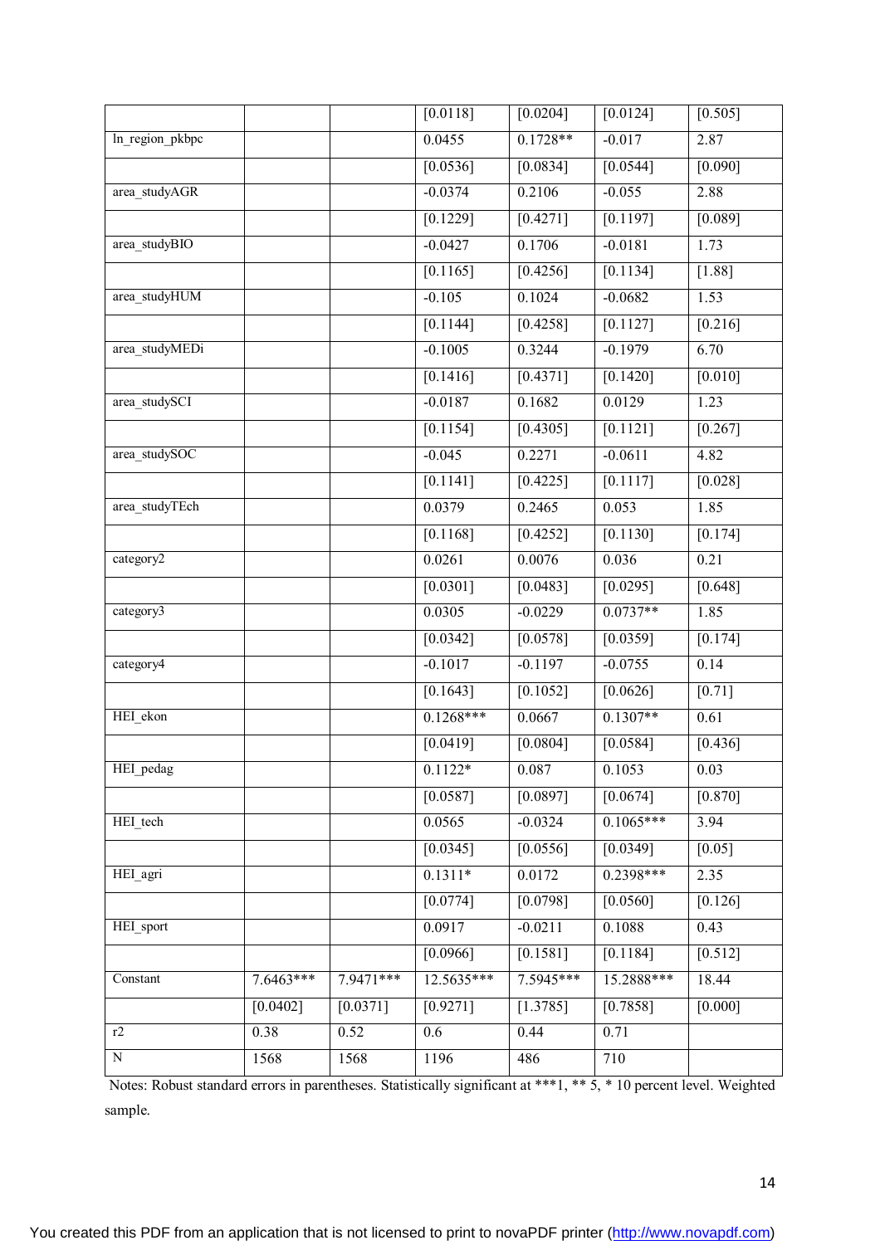|                 |            |                       | [0.0118]     | [0.0204]              | [0.0124]              | [0.505]           |
|-----------------|------------|-----------------------|--------------|-----------------------|-----------------------|-------------------|
| ln_region_pkbpc |            |                       | 0.0455       | $0.1728**$            | $-0.017$              | 2.87              |
|                 |            |                       | [0.0536]     | [0.0834]              | [0.0544]              | [0.090]           |
| area_studyAGR   |            |                       | $-0.0374$    | 0.2106                | $-0.055$              | 2.88              |
|                 |            |                       | [0.1229]     | [0.4271]              | [0.1197]              | [0.089]           |
| area_studyBIO   |            |                       | $-0.0427$    | 0.1706                | $-0.0181$             | 1.73              |
|                 |            |                       | [0.1165]     | [0.4256]              | [0.1134]              | $[1.88]$          |
| area_studyHUM   |            |                       | $-0.105$     | 0.1024                | $-0.0682$             | 1.53              |
|                 |            |                       | [0.1144]     | [0.4258]              | [0.1127]              | [0.216]           |
| area_studyMEDi  |            |                       | $-0.1005$    | 0.3244                | $-0.1979$             | 6.70              |
|                 |            |                       | [0.1416]     | [0.4371]              | [0.1420]              | [0.010]           |
| area_studySCI   |            |                       | $-0.0187$    | 0.1682                | 0.0129                | 1.23              |
|                 |            |                       | [0.1154]     | [0.4305]              | [0.1121]              | [0.267]           |
| area_studySOC   |            |                       | $-0.045$     | 0.2271                | $-0.0611$             | 4.82              |
|                 |            |                       | [0.1141]     | [0.4225]              | [0.1117]              | [0.028]           |
| area_studyTEch  |            |                       | 0.0379       | 0.2465                | 0.053                 | 1.85              |
|                 |            |                       | [0.1168]     | [0.4252]              | [0.1130]              | [0.174]           |
| category2       |            |                       | 0.0261       | 0.0076                | 0.036                 | 0.21              |
|                 |            |                       | [0.0301]     | [0.0483]              | [0.0295]              | [0.648]           |
| category3       |            |                       | 0.0305       | $-0.0229$             | $0.0737**$            | 1.85              |
|                 |            |                       | [0.0342]     | [0.0578]              | [0.0359]              | [0.174]           |
| category4       |            |                       | $-0.1017$    | $-0.1197$             | $-0.0755$             | 0.14              |
|                 |            |                       | [0.1643]     | [0.1052]              | [0.0626]              | $[0.71]$          |
| HEI_ekon        |            |                       | $0.1268***$  | 0.0667                | $0.1307**$            | $\overline{0.61}$ |
|                 |            |                       | [0.0419]     | [0.0804]              | [0.0584]              | [0.436]           |
| HEI_pedag       |            |                       | $0.1122*$    | 0.087                 | 0.1053                | 0.03              |
|                 |            |                       | [0.0587]     | [0.0897]              | [0.0674]              | [0.870]           |
| HEI_tech        |            |                       | 0.0565       | $-0.0324$             | $0.1065***$           | 3.94              |
|                 |            |                       | [0.0345]     | [0.0556]              | $\overline{[0.0349]}$ | $[0.05]$          |
| HEI_agri        |            |                       | $0.1311*$    | 0.0172                | $0.2398***$           | 2.35              |
|                 |            |                       | [0.0774]     | [0.0798]              | $[0.0560]$            | [0.126]           |
| HEI sport       |            |                       | 0.0917       | $-0.0211$             | 0.1088                | 0.43              |
|                 |            |                       | [0.0966]     | [0.1581]              | [0.1184]              | [0.512]           |
| Constant        | 7.6463***  | $7.9471***$           | $12.5635***$ | 7.5945***             | $15.2888***$          | 18.44             |
|                 | $[0.0402]$ | $[0.037\overline{1}]$ | [0.9271]     | $[1.378\overline{5}]$ | [0.7858]              | [0.000]           |
| r2              | 0.38       | 0.52                  | 0.6          | 0.44                  | 0.71                  |                   |
| $\overline{N}$  | 1568       | 1568                  | 1196         | 486                   | 710                   |                   |
|                 |            |                       |              |                       |                       |                   |

Notes: Robust standard errors in parentheses. Statistically significant at \*\*\*1, \*\* 5, \* 10 percent level. Weighted sample.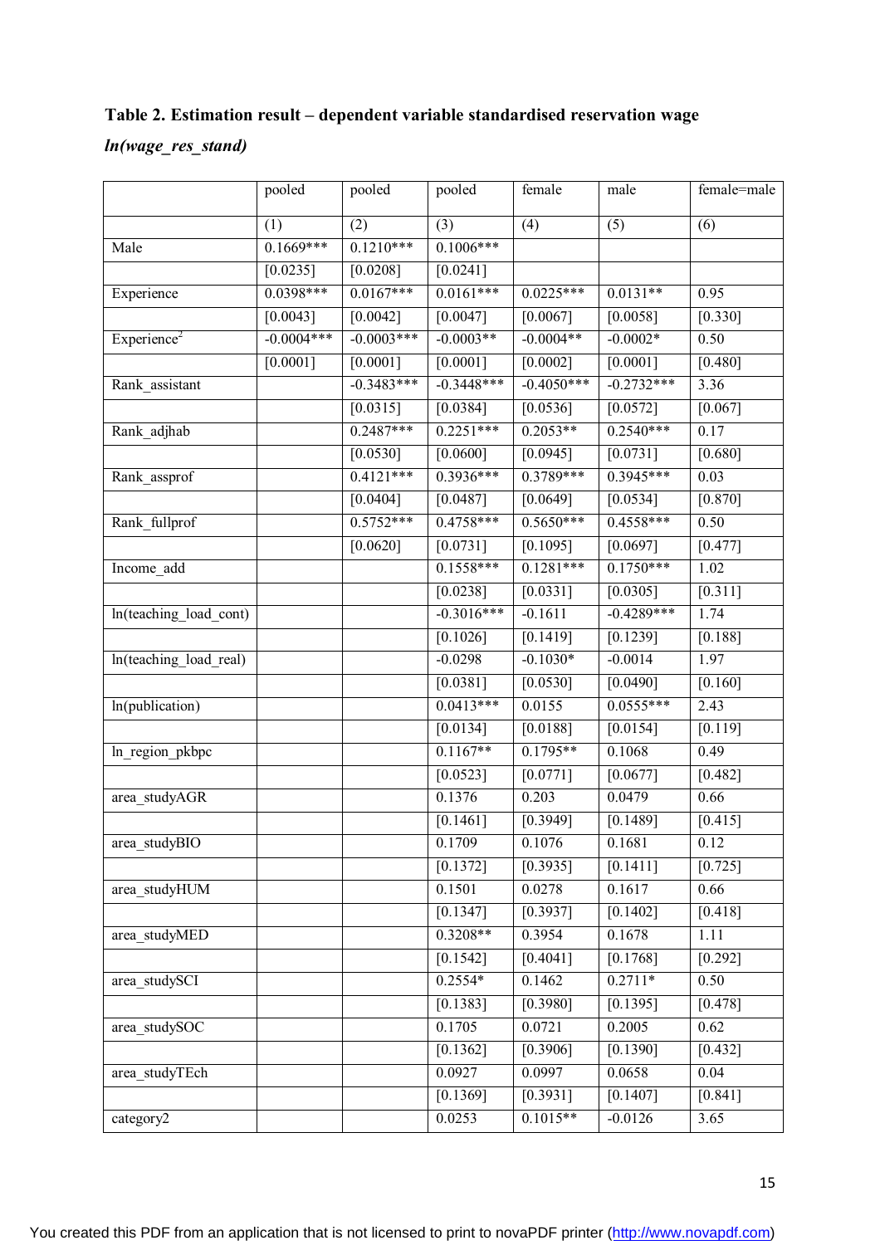## **Table 2. Estimation result – dependent variable standardised reservation wage**

#### *ln(wage\_res\_stand)*

|                        | pooled       | pooled       | pooled                | female       | male                  | female=male       |
|------------------------|--------------|--------------|-----------------------|--------------|-----------------------|-------------------|
|                        | (1)          | (2)          | (3)                   | (4)          | (5)                   | (6)               |
| Male                   | $0.1669***$  | $0.1210***$  | $0.1006***$           |              |                       |                   |
|                        | [0.0235]     | [0.0208]     | [0.0241]              |              |                       |                   |
| Experience             | $0.0398***$  | $0.0167***$  | $0.0161***$           | $0.0225***$  | $0.0131**$            | 0.95              |
|                        | [0.0043]     | [0.0042]     | [0.0047]              | [0.0067]     | [0.0058]              | [0.330]           |
| $\text{Experience}^2$  | $-0.0004***$ | $-0.0003***$ | $-0.0003**$           | $-0.0004**$  | $-0.0002*$            | 0.50              |
|                        | $[0.0001]$   | $[0.0001]$   | [0.0001]              | $[0.0002]$   | [0.0001]              | $[0.480]$         |
| Rank_assistant         |              | $-0.3483***$ | $-0.3448***$          | $-0.4050***$ | $-0.2732***$          | 3.36              |
|                        |              | [0.0315]     | [0.0384]              | [0.0536]     | [0.0572]              | [0.067]           |
| Rank_adjhab            |              | $0.2487***$  | $0.2251***$           | $0.2053**$   | $0.2540***$           | 0.17              |
|                        |              | [0.0530]     | [0.0600]              | [0.0945]     | [0.0731]              | [0.680]           |
| Rank_assprof           |              | $0.4121***$  | $0.3936***$           | $0.3789***$  | 0.3945***             | 0.03              |
|                        |              | [0.0404]     | [0.0487]              | [0.0649]     | [0.0534]              | [0.870]           |
| Rank_fullprof          |              | $0.5752***$  | $0.4758***$           | $0.5650***$  | $0.4558***$           | 0.50              |
|                        |              | [0.0620]     | [0.0731]              | [0.1095]     | [0.0697]              | [0.477]           |
| Income_add             |              |              | $0.1558***$           | $0.1281***$  | $0.1750***$           | 1.02              |
|                        |              |              | [0.0238]              | [0.0331]     | [0.0305]              | [0.311]           |
| ln(teaching_load_cont) |              |              | $-0.3016***$          | $-0.1611$    | $-0.4289***$          | 1.74              |
|                        |              |              | [0.1026]              | [0.1419]     | [0.1239]              | [0.188]           |
| ln(teaching_load_real) |              |              | $-0.0298$             | $-0.1030*$   | $-0.0014$             | 1.97              |
|                        |              |              | [0.0381]              | [0.0530]     | $[0.049\overline{0}]$ | [0.160]           |
| ln(publication)        |              |              | $0.0413***$           | 0.0155       | $0.0555***$           | 2.43              |
|                        |              |              | [0.0134]              | [0.0188]     | [0.0154]              | [0.119]           |
| ln_region_pkbpc        |              |              | $0.1167**$            | $0.1795**$   | 0.1068                | 0.49              |
|                        |              |              | [0.0523]              | [0.0771]     | [0.0677]              | [0.482]           |
| area_studyAGR          |              |              | 0.1376                | 0.203        | 0.0479                | 0.66              |
|                        |              |              | [0.1461]              | [0.3949]     | [0.1489]              | [0.415]           |
| area studyBIO          |              |              | 0.1709                | 0.1076       | 0.1681                | 0.12              |
|                        |              |              | $[0.137\overline{2}]$ | [0.3935]     | [0.1411]              | [0.725]           |
| area studyHUM          |              |              | 0.1501                | 0.0278       | 0.1617                | 0.66              |
|                        |              |              | [0.1347]              | [0.3937]     | $[0.1402]$            | [0.418]           |
| area_studyMED          |              |              | $0.3208**$            | 0.3954       | 0.1678                | 1.11              |
|                        |              |              | [0.1542]              | [0.4041]     | [0.1768]              | [0.292]           |
| area_studySCI          |              |              | $0.2554*$             | 0.1462       | $0.2711*$             | 0.50              |
|                        |              |              | [0.1383]              | [0.3980]     | [0.1395]              | [0.478]           |
| area_studySOC          |              |              | 0.1705                | 0.0721       | 0.2005                | 0.62              |
|                        |              |              | [0.1362]              | [0.3906]     | [0.1390]              | $[0.432]$         |
| area studyTEch         |              |              | 0.0927                | 0.0997       | 0.0658                | $\overline{0.04}$ |
|                        |              |              | [0.1369]              | [0.3931]     | [0.1407]              | $[0.841]$         |
| category2              |              |              | 0.0253                | $0.1015**$   | $-0.0126$             | 3.65              |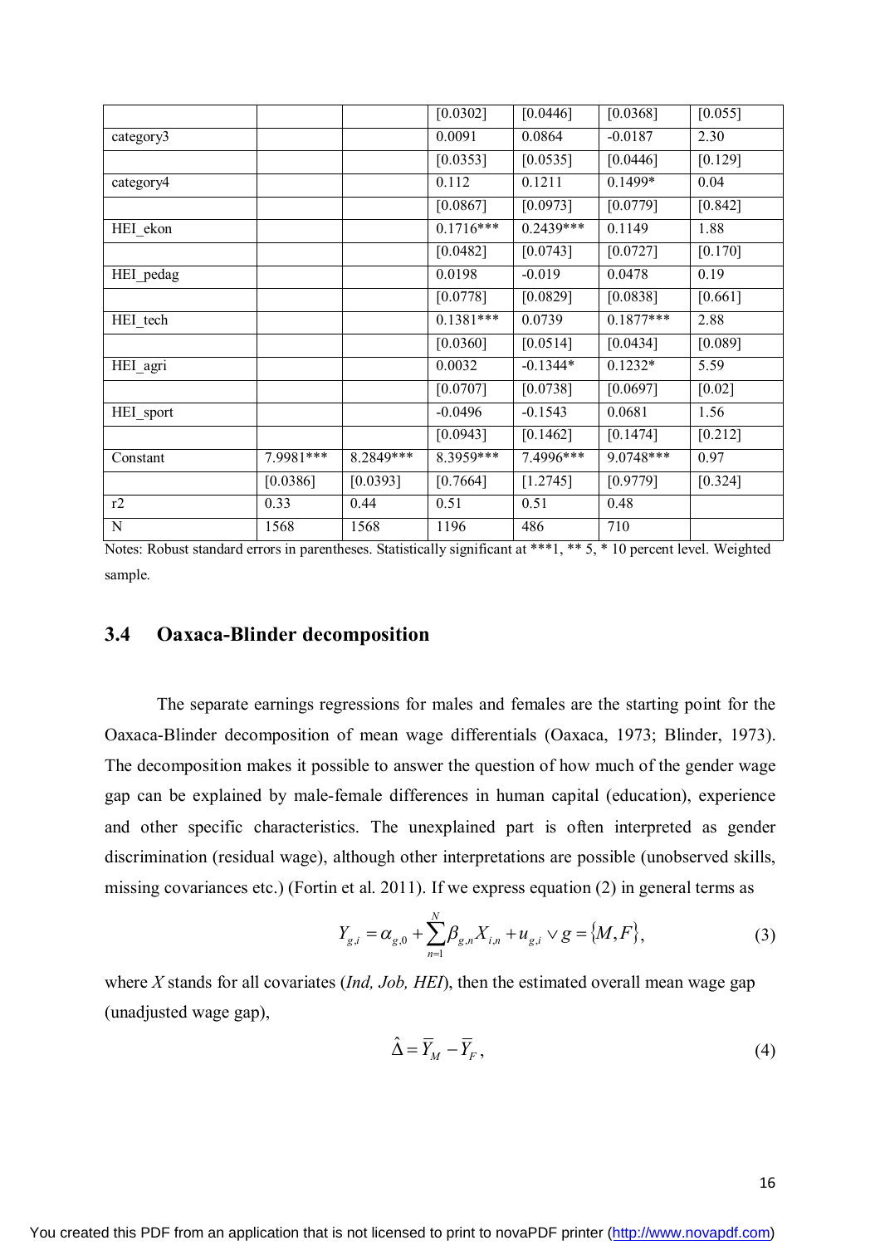|             |           |           | [0.0302]    | [0.0446]   | [0.0368]    | [0.055]   |
|-------------|-----------|-----------|-------------|------------|-------------|-----------|
| category3   |           |           | 0.0091      | 0.0864     | $-0.0187$   | 2.30      |
|             |           |           | [0.0353]    | [0.0535]   | [0.0446]    | [0.129]   |
| category4   |           |           | 0.112       | 0.1211     | $0.1499*$   | 0.04      |
|             |           |           | [0.0867]    | [0.0973]   | [0.0779]    | $[0.842]$ |
| HEI ekon    |           |           | $0.1716***$ | 0.2439***  | 0.1149      | 1.88      |
|             |           |           | [0.0482]    | [0.0743]   | [0.0727]    | [0.170]   |
| HEI_pedag   |           |           | 0.0198      | $-0.019$   | 0.0478      | 0.19      |
|             |           |           | [0.0778]    | [0.0829]   | [0.0838]    | $[0.661]$ |
| HEI_tech    |           |           | $0.1381***$ | 0.0739     | $0.1877***$ | 2.88      |
|             |           |           | [0.0360]    | [0.0514]   | [0.0434]    | [0.089]   |
| HEI_agri    |           |           | 0.0032      | $-0.1344*$ | $0.1232*$   | 5.59      |
|             |           |           | [0.0707]    | [0.0738]   | [0.0697]    | $[0.02]$  |
| HEI_sport   |           |           | $-0.0496$   | $-0.1543$  | 0.0681      | 1.56      |
|             |           |           | [0.0943]    | [0.1462]   | [0.1474]    | [0.212]   |
| Constant    | 7.9981*** | 8.2849*** | 8.3959***   | 7.4996***  | 9.0748***   | 0.97      |
|             | [0.0386]  | [0.0393]  | [0.7664]    | [1.2745]   | [0.9779]    | $[0.324]$ |
| r2          | 0.33      | 0.44      | 0.51        | 0.51       | 0.48        |           |
| $\mathbf N$ | 1568      | 1568      | 1196        | 486        | 710         |           |

Notes: Robust standard errors in parentheses. Statistically significant at \*\*\*1, \*\* 5, \* 10 percent level. Weighted sample.

#### **3.4 Oaxaca-Blinder decomposition**

The separate earnings regressions for males and females are the starting point for the Oaxaca-Blinder decomposition of mean wage differentials (Oaxaca, 1973; Blinder, 1973). The decomposition makes it possible to answer the question of how much of the gender wage gap can be explained by male-female differences in human capital (education), experience and other specific characteristics. The unexplained part is often interpreted as gender discrimination (residual wage), although other interpretations are possible (unobserved skills, missing covariances etc.) (Fortin et al. 2011). If we express equation (2) in general terms as

$$
Y_{g,i} = \alpha_{g,0} + \sum_{n=1}^{N} \beta_{g,n} X_{i,n} + u_{g,i} \vee g = \{M, F\},\tag{3}
$$

where *X* stands for all covariates (*Ind, Job, HEI*), then the estimated overall mean wage gap (unadjusted wage gap),

$$
\hat{\Delta} = \overline{Y}_M - \overline{Y}_F, \qquad (4)
$$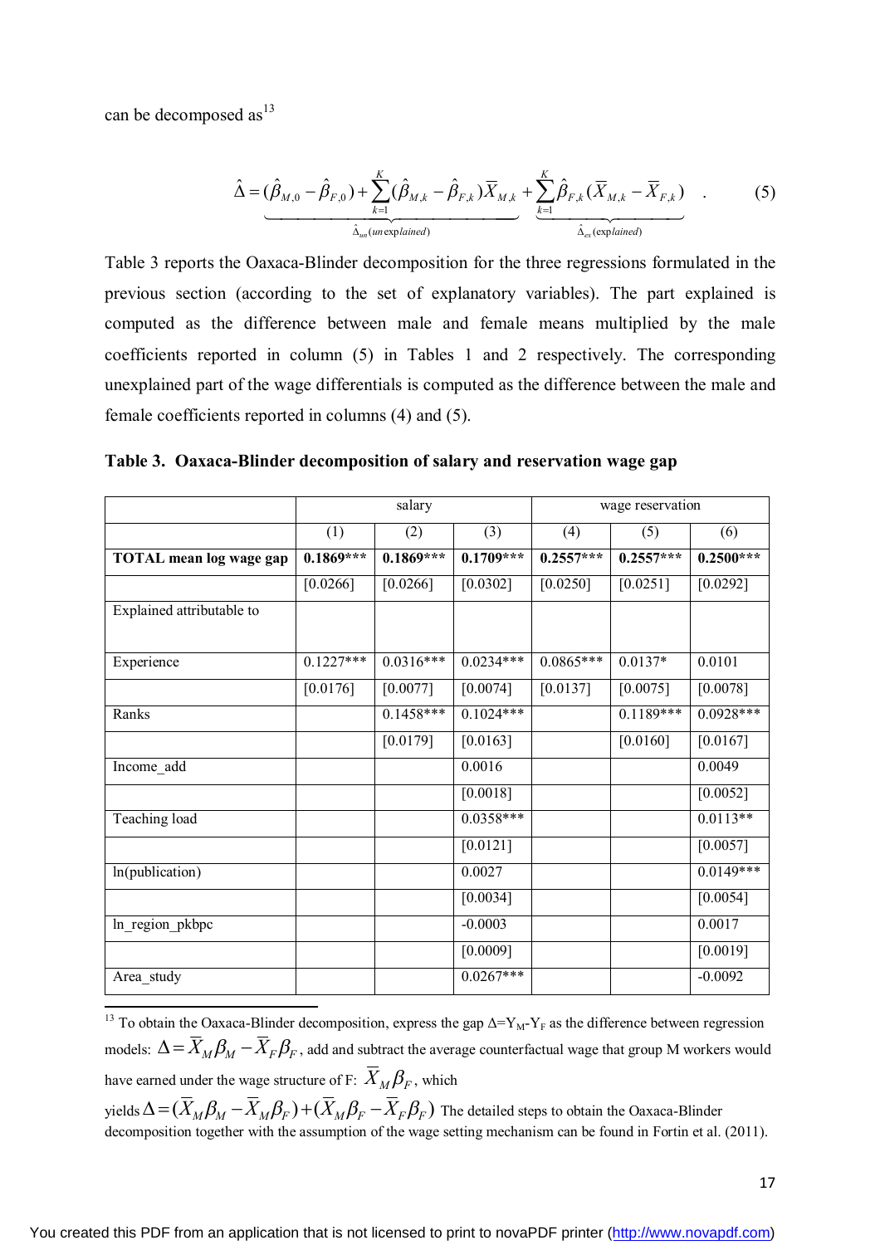can be decomposed as $^{13}$ 

$$
\hat{\Delta} = (\hat{\beta}_{M,0} - \hat{\beta}_{F,0}) + \sum_{k=1}^{K} (\hat{\beta}_{M,k} - \hat{\beta}_{F,k}) \overline{X}_{M,k} + \sum_{k=1}^{K} \hat{\beta}_{F,k} (\overline{X}_{M,k} - \overline{X}_{F,k})
$$
(5)

Table 3 reports the Oaxaca-Blinder decomposition for the three regressions formulated in the previous section (according to the set of explanatory variables). The part explained is computed as the difference between male and female means multiplied by the male coefficients reported in column (5) in Tables 1 and 2 respectively. The corresponding unexplained part of the wage differentials is computed as the difference between the male and female coefficients reported in columns (4) and (5).

|  |  |  |  | Table 3. Oaxaca-Blinder decomposition of salary and reservation wage gap |
|--|--|--|--|--------------------------------------------------------------------------|
|--|--|--|--|--------------------------------------------------------------------------|

|                           |             | salary      |             | wage reservation |             |             |  |
|---------------------------|-------------|-------------|-------------|------------------|-------------|-------------|--|
|                           | (1)         | (2)         | (3)         | (4)              | (5)         | (6)         |  |
| TOTAL mean log wage gap   | $0.1869***$ | $0.1869***$ | $0.1709***$ | $0.2557***$      | $0.2557***$ | $0.2500***$ |  |
|                           | [0.0266]    | [0.0266]    | [0.0302]    | [0.0250]         | [0.0251]    | [0.0292]    |  |
| Explained attributable to |             |             |             |                  |             |             |  |
| Experience                | $0.1227***$ | $0.0316***$ | $0.0234***$ | $0.0865***$      | $0.0137*$   | 0.0101      |  |
|                           | [0.0176]    | [0.0077]    | [0.0074]    | [0.0137]         | [0.0075]    | [0.0078]    |  |
| Ranks                     |             | $0.1458***$ | $0.1024***$ |                  | $0.1189***$ | $0.0928***$ |  |
|                           |             | [0.0179]    | [0.0163]    |                  | [0.0160]    | [0.0167]    |  |
| Income_add                |             |             | 0.0016      |                  |             | 0.0049      |  |
|                           |             |             | [0.0018]    |                  |             | [0.0052]    |  |
| Teaching load             |             |             | $0.0358***$ |                  |             | $0.0113**$  |  |
|                           |             |             | [0.0121]    |                  |             | [0.0057]    |  |
| In(publication)           |             |             | 0.0027      |                  |             | $0.0149***$ |  |
|                           |             |             | [0.0034]    |                  |             | [0.0054]    |  |
| ln_region_pkbpc           |             |             | $-0.0003$   |                  |             | 0.0017      |  |
|                           |             |             | [0.0009]    |                  |             | [0.0019]    |  |
| Area_study                |             |             | $0.0267***$ |                  |             | $-0.0092$   |  |

 $\ddot{\phantom{a}}$ <sup>13</sup> To obtain the Oaxaca-Blinder decomposition, express the gap  $\Delta = Y_M - Y_F$  as the difference between regression models:  $\Delta\! =\! X_{\rm\scriptscriptstyle M} \beta_{\rm\scriptscriptstyle M} - X_{\rm\scriptscriptstyle F} \beta_{\rm\scriptscriptstyle F}$  , add and subtract the average counterfactual wage that group M workers would have earned under the wage structure of F:  $X_M \beta_F$ , which

yields  $\Delta$  =  $(X_M \beta_M - X_M \beta_F)$  +  $(X_M \beta_F - X_F \beta_F)$  The detailed steps to obtain the Oaxaca-Blinder decomposition together with the assumption of the wage setting mechanism can be found in Fortin et al. (2011).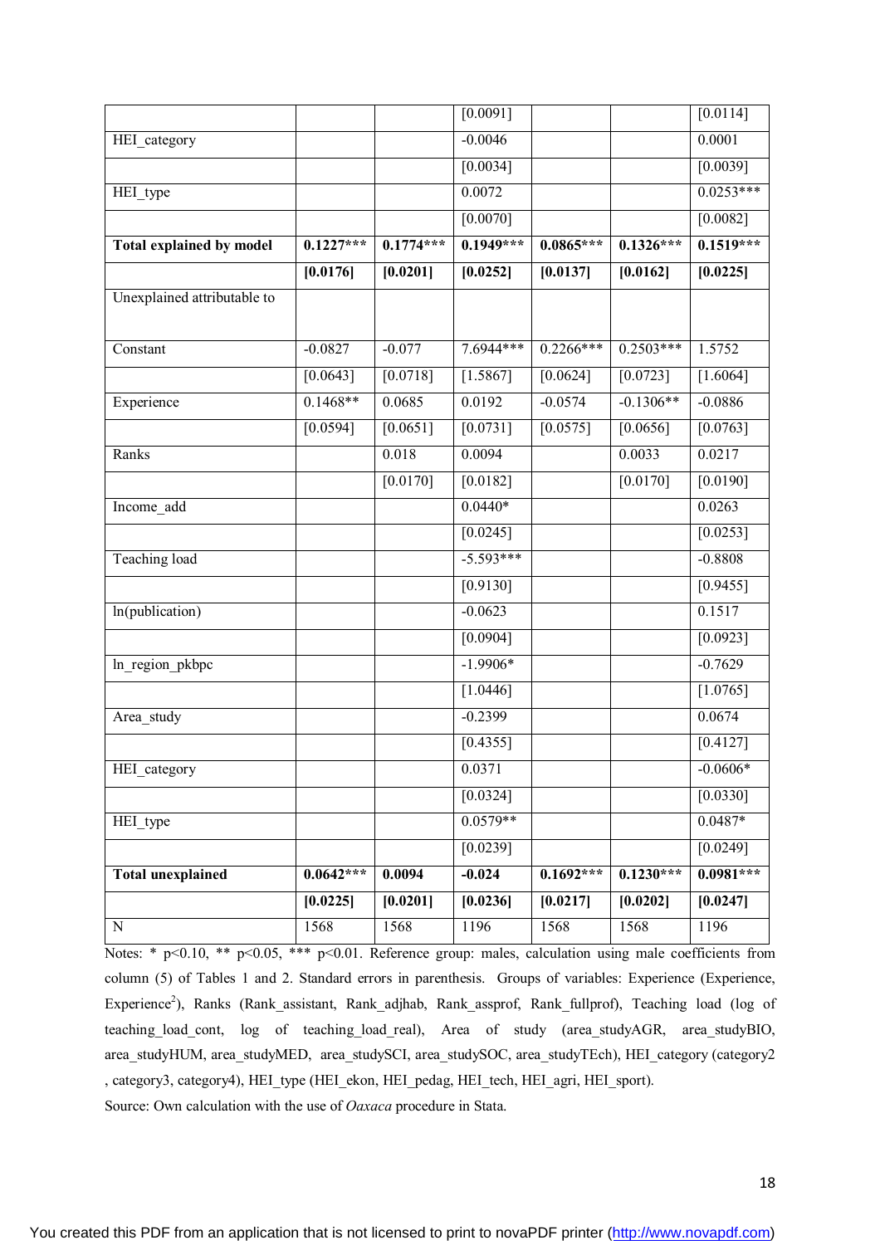| N                               | 1568        | 1568        | 1196                   | 1568        | 1568        | 1196                  |
|---------------------------------|-------------|-------------|------------------------|-------------|-------------|-----------------------|
|                                 | [0.0225]    | [0.0201]    | [0.0236]               | [0.0217]    | [0.0202]    | [0.0247]              |
| <b>Total unexplained</b>        | $0.0642***$ | 0.0094      | $-0.024$               | $0.1692***$ | $0.1230***$ | $0.0981***$           |
|                                 |             |             | [0.0239]               |             |             | [0.0249]              |
| HEI_type                        |             |             | $0.0579**$             |             |             | $0.0487*$             |
|                                 |             |             | [0.0324]               |             |             | [0.0330]              |
| HEI category                    |             |             | 0.0371                 |             |             | $-0.0606*$            |
| Area_study                      |             |             | [0.4355]               |             |             | [0.4127]              |
|                                 |             |             | [1.0446]<br>$-0.2399$  |             |             | 0.0674                |
| ln_region_pkbpc                 |             |             |                        |             |             | $[1.0765]$            |
|                                 |             |             | [0.0904]<br>$-1.9906*$ |             |             | [0.0923]<br>$-0.7629$ |
| In(publication)                 |             |             | $-0.0623$              |             |             | 0.1517                |
|                                 |             |             | [0.9130]               |             |             | [0.9455]              |
| <b>Teaching load</b>            |             |             | $-5.593***$            |             |             | $-0.8808$             |
|                                 |             |             | [0.0245]               |             |             | [0.0253]              |
| Income add                      |             |             | $0.0440*$              |             |             | 0.0263                |
|                                 |             | [0.0170]    | [0.0182]               |             | [0.0170]    | [0.0190]              |
| Ranks                           |             | 0.018       | 0.0094                 |             | 0.0033      | 0.0217                |
|                                 | $[0.0594]$  | [0.0651]    | [0.0731]               | [0.0575]    | [0.0656]    | $[0.0763]$            |
| Experience                      | $0.1468**$  | 0.0685      | 0.0192                 | $-0.0574$   | $-0.1306**$ | $-0.0886$             |
|                                 | $[0.0643]$  | [0.0718]    | [1.5867]               | [0.0624]    | $[0.0723]$  | [1.6064]              |
| Constant                        | $-0.0827$   | $-0.077$    | 7.6944***              | $0.2266***$ | $0.2503***$ | 1.5752                |
| Unexplained attributable to     |             |             |                        |             |             |                       |
|                                 | [0.0176]    | [0.0201]    | [0.0252]               | [0.0137]    | [0.0162]    | [0.0225]              |
| <b>Total explained by model</b> | $0.1227***$ | $0.1774***$ | $0.1949***$            | $0.0865***$ | $0.1326***$ | $0.1519***$           |
|                                 |             |             | [0.0070]               |             |             | [0.0082]              |
| HEI_type                        |             |             | 0.0072                 |             |             | $0.0253***$           |
|                                 |             |             | [0.0034]               |             |             | [0.0039]              |
| HEI_category                    |             |             | $-0.0046$              |             |             | 0.0001                |
|                                 |             |             | $\sqrt{0.0091}$        |             |             | [0.0114]              |

Notes: \*  $p<0.10$ , \*\*  $p<0.05$ , \*\*\*  $p<0.01$ . Reference group: males, calculation using male coefficients from column (5) of Tables 1 and 2. Standard errors in parenthesis. Groups of variables: Experience (Experience, Experience<sup>2</sup>), Ranks (Rank\_assistant, Rank\_adjhab, Rank\_assprof, Rank\_fullprof), Teaching load (log of teaching\_load\_cont, log of teaching\_load\_real), Area of study (area\_studyAGR, area\_studyBIO, area\_studyHUM, area\_studyMED, area\_studySCI, area\_studySOC, area\_studyTEch), HEI\_category (category2 , category3, category4), HEI\_type (HEI\_ekon, HEI\_pedag, HEI\_tech, HEI\_agri, HEI\_sport).

Source: Own calculation with the use of *Oaxaca* procedure in Stata.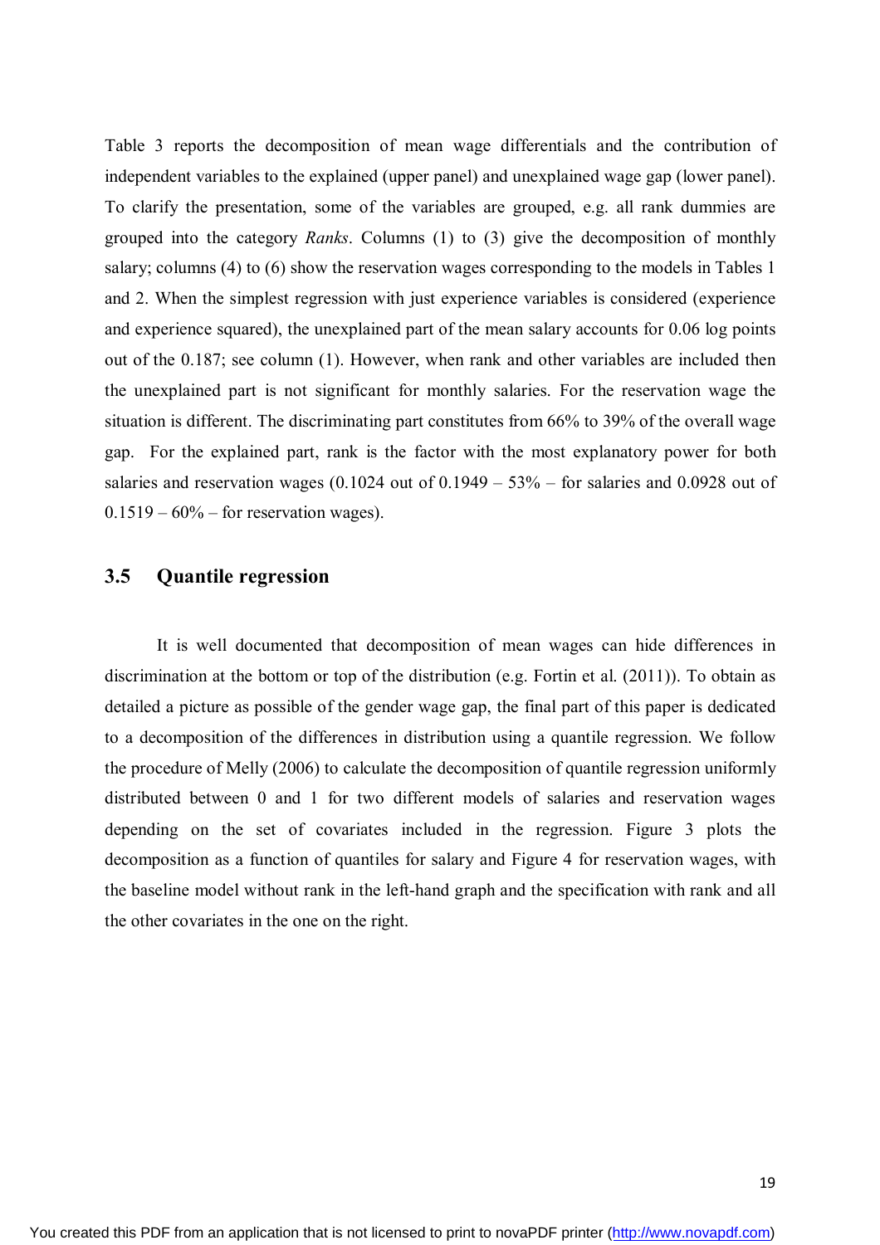Table 3 reports the decomposition of mean wage differentials and the contribution of independent variables to the explained (upper panel) and unexplained wage gap (lower panel). To clarify the presentation, some of the variables are grouped, e.g. all rank dummies are grouped into the category *Ranks*. Columns (1) to (3) give the decomposition of monthly salary; columns (4) to (6) show the reservation wages corresponding to the models in Tables 1 and 2. When the simplest regression with just experience variables is considered (experience and experience squared), the unexplained part of the mean salary accounts for 0.06 log points out of the 0.187; see column (1). However, when rank and other variables are included then the unexplained part is not significant for monthly salaries. For the reservation wage the situation is different. The discriminating part constitutes from 66% to 39% of the overall wage gap. For the explained part, rank is the factor with the most explanatory power for both salaries and reservation wages  $(0.1024$  out of  $0.1949 - 53\%$  – for salaries and  $0.0928$  out of  $0.1519 - 60\%$  – for reservation wages).

#### **3.5 Quantile regression**

It is well documented that decomposition of mean wages can hide differences in discrimination at the bottom or top of the distribution (e.g. Fortin et al. (2011)). To obtain as detailed a picture as possible of the gender wage gap, the final part of this paper is dedicated to a decomposition of the differences in distribution using a quantile regression. We follow the procedure of Melly (2006) to calculate the decomposition of quantile regression uniformly distributed between 0 and 1 for two different models of salaries and reservation wages depending on the set of covariates included in the regression. Figure 3 plots the decomposition as a function of quantiles for salary and Figure 4 for reservation wages, with the baseline model without rank in the left-hand graph and the specification with rank and all the other covariates in the one on the right.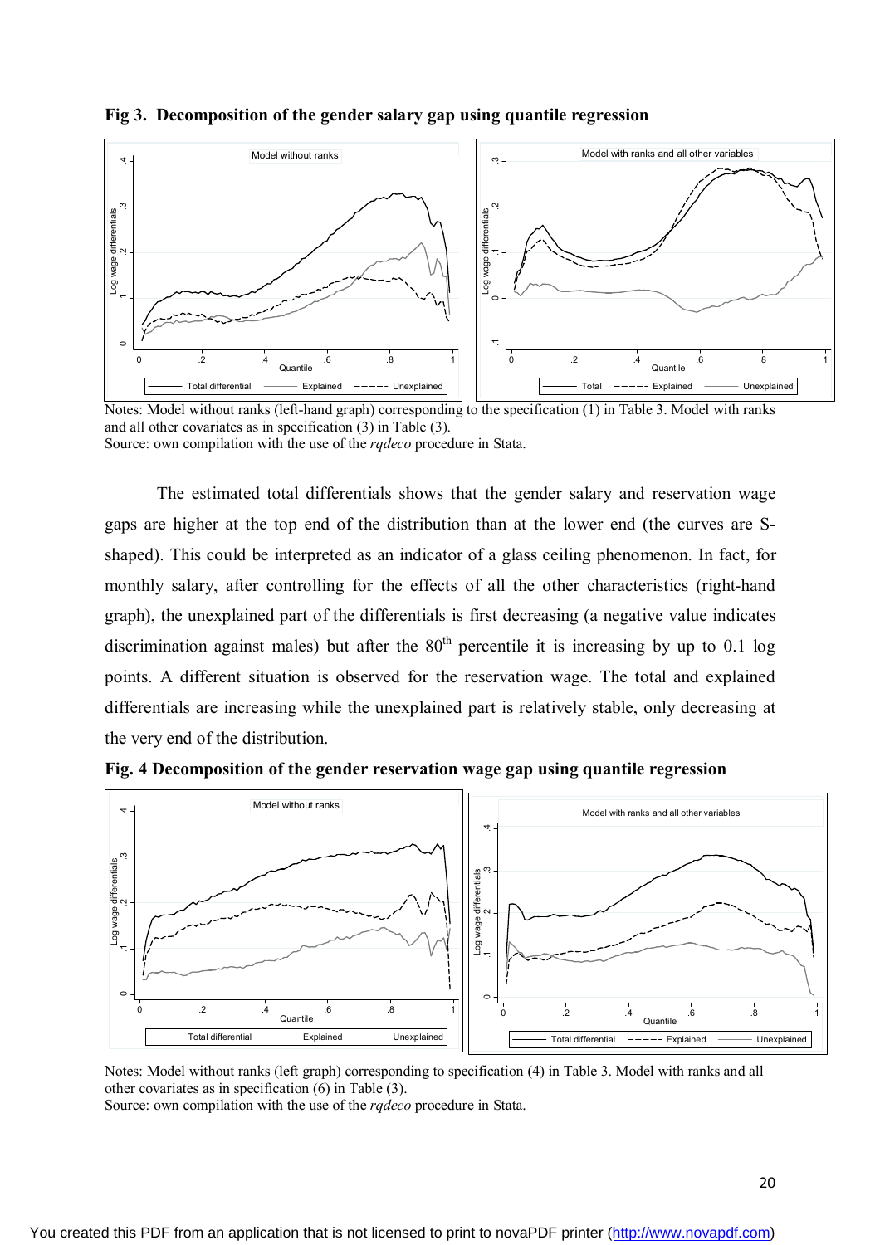

#### **Fig 3. Decomposition of the gender salary gap using quantile regression**

Notes: Model without ranks (left-hand graph) corresponding to the specification (1) in Table 3. Model with ranks and all other covariates as in specification (3) in Table (3). Source: own compilation with the use of the *rqdeco* procedure in Stata.

The estimated total differentials shows that the gender salary and reservation wage gaps are higher at the top end of the distribution than at the lower end (the curves are Sshaped). This could be interpreted as an indicator of a glass ceiling phenomenon. In fact, for monthly salary, after controlling for the effects of all the other characteristics (right-hand graph), the unexplained part of the differentials is first decreasing (a negative value indicates discrimination against males) but after the  $80<sup>th</sup>$  percentile it is increasing by up to 0.1 log points. A different situation is observed for the reservation wage. The total and explained differentials are increasing while the unexplained part is relatively stable, only decreasing at the very end of the distribution.



**Fig. 4 Decomposition of the gender reservation wage gap using quantile regression**

Notes: Model without ranks (left graph) corresponding to specification (4) in Table 3. Model with ranks and all other covariates as in specification (6) in Table (3).

Source: own compilation with the use of the *rqdeco* procedure in Stata.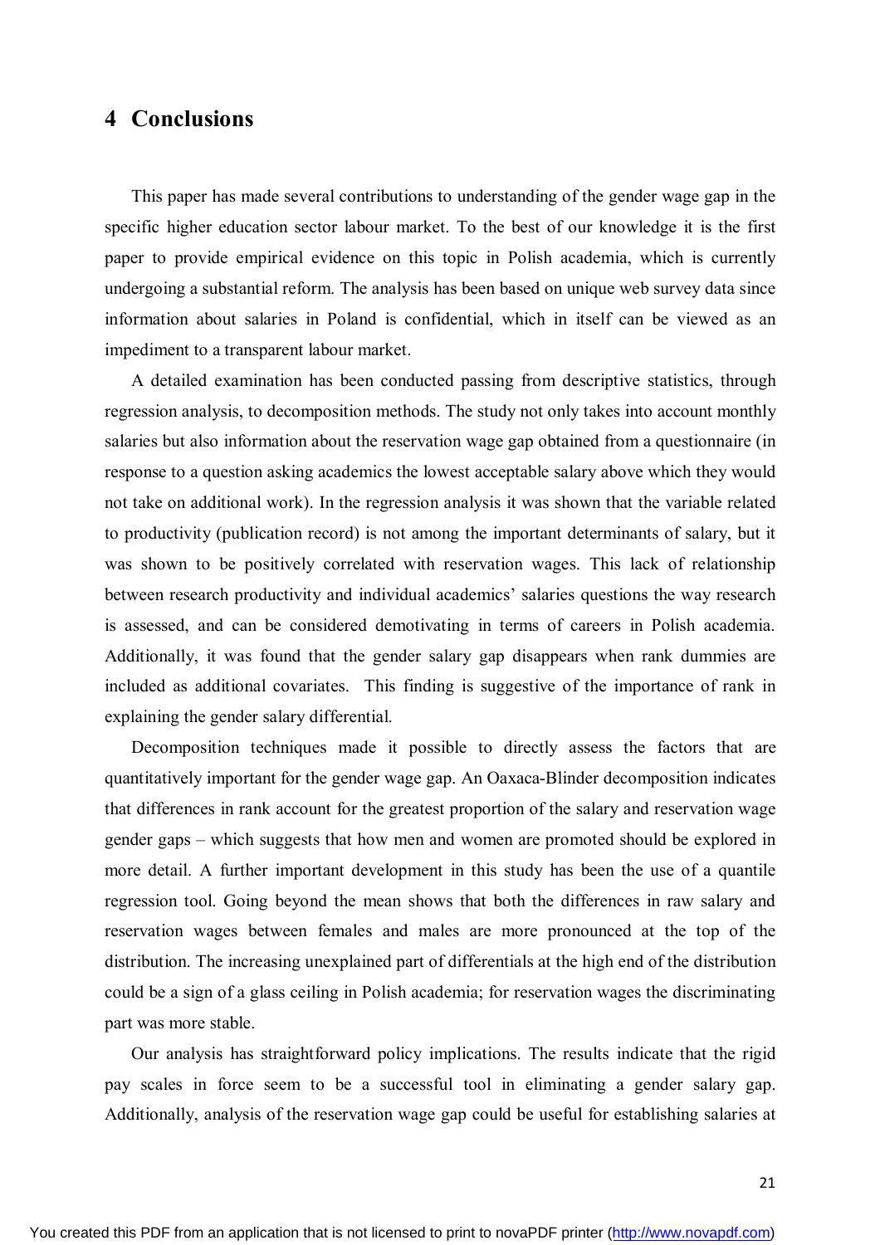### **4 Conclusions**

This paper has made several contributions to understanding of the gender wage gap in the specific higher education sector labour market. To the best of our knowledge it is the first paper to provide empirical evidence on this topic in Polish academia, which is currently undergoing a substantial reform. The analysis has been based on unique web survey data since information about salaries in Poland is confidential, which in itself can be viewed as an impediment to a transparent labour market.

A detailed examination has been conducted passing from descriptive statistics, through regression analysis, to decomposition methods. The study not only takes into account monthly salaries but also information about the reservation wage gap obtained from a questionnaire (in response to a question asking academics the lowest acceptable salary above which they would not take on additional work). In the regression analysis it was shown that the variable related to productivity (publication record) is not among the important determinants of salary, but it was shown to be positively correlated with reservation wages. This lack of relationship between research productivity and individual academics' salaries questions the way research is assessed, and can be considered demotivating in terms of careers in Polish academia. Additionally, it was found that the gender salary gap disappears when rank dummies are included as additional covariates. This finding is suggestive of the importance of rank in explaining the gender salary differential.

Decomposition techniques made it possible to directly assess the factors that are quantitatively important for the gender wage gap. An Oaxaca-Blinder decomposition indicates that differences in rank account for the greatest proportion of the salary and reservation wage gender gaps – which suggests that how men and women are promoted should be explored in more detail. A further important development in this study has been the use of a quantile regression tool. Going beyond the mean shows that both the differences in raw salary and reservation wages between females and males are more pronounced at the top of the distribution. The increasing unexplained part of differentials at the high end of the distribution could be a sign of a glass ceiling in Polish academia; for reservation wages the discriminating part was more stable.

Our analysis has straightforward policy implications. The results indicate that the rigid pay scales in force seem to be a successful tool in eliminating a gender salary gap. Additionally, analysis of the reservation wage gap could be useful for establishing salaries at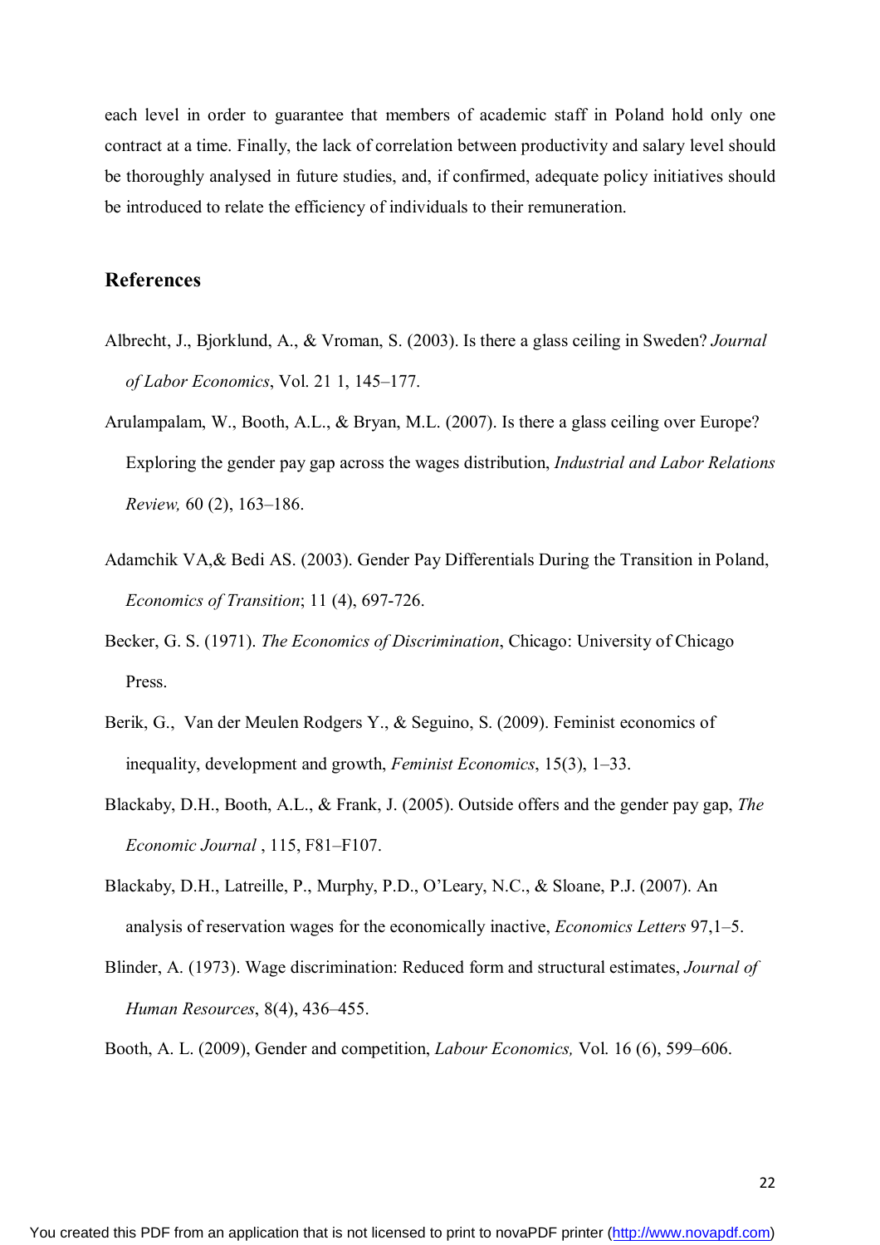each level in order to guarantee that members of academic staff in Poland hold only one contract at a time. Finally, the lack of correlation between productivity and salary level should be thoroughly analysed in future studies, and, if confirmed, adequate policy initiatives should be introduced to relate the efficiency of individuals to their remuneration.

#### **References**

- Albrecht, J., Bjorklund, A., & Vroman, S. (2003). Is there a glass ceiling in Sweden? *Journal of Labor Economics*, Vol. 21 1, 145–177.
- Arulampalam, W., Booth, A.L., & Bryan, M.L. (2007). Is there a glass ceiling over Europe? Exploring the gender pay gap across the wages distribution, *Industrial and Labor Relations Review,* 60 (2), 163–186.
- Adamchik VA,& Bedi AS. (2003). Gender Pay Differentials During the Transition in Poland, *Economics of Transition*; 11 (4), 697-726.
- Becker, G. S. (1971). *The Economics of Discrimination*, Chicago: University of Chicago Press.
- Berik, G., Van der Meulen Rodgers Y., & Seguino, S. (2009). Feminist economics of inequality, development and growth, *Feminist Economics*, 15(3), 1–33.
- Blackaby, D.H., Booth, A.L., & Frank, J. (2005). Outside offers and the gender pay gap, *The Economic Journal* , 115, F81–F107.
- Blackaby, D.H., Latreille, P., Murphy, P.D., O'Leary, N.C., & Sloane, P.J. (2007). An analysis of reservation wages for the economically inactive, *Economics Letters* 97,1–5.
- Blinder, A. (1973). Wage discrimination: Reduced form and structural estimates, *Journal of Human Resources*, 8(4), 436–455.

Booth, A. L. (2009), Gender and competition, *Labour Economics,* Vol. 16 (6), 599–606.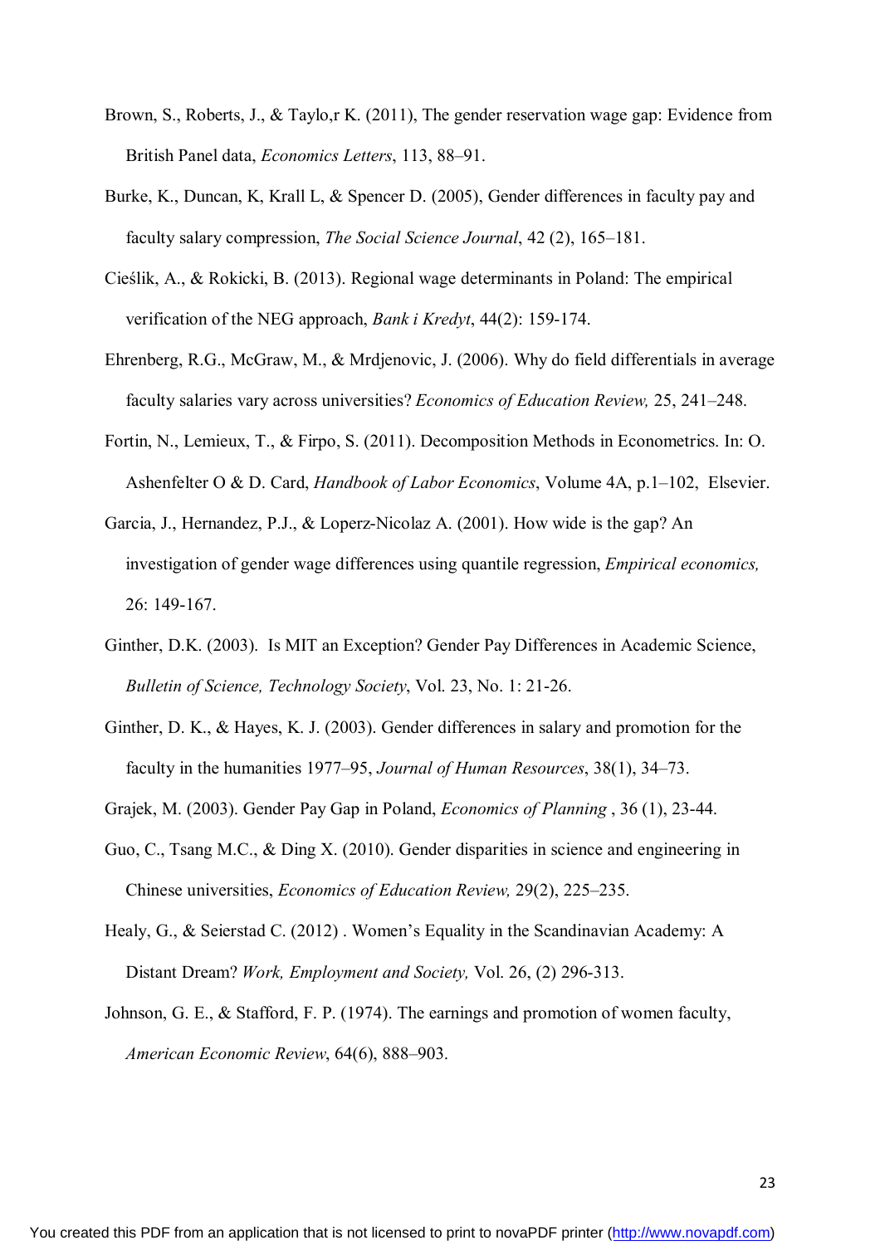- Brown, S., Roberts, J., & Taylo,r K. (2011), The gender reservation wage gap: Evidence from British Panel data, *Economics Letters*, 113, 88–91.
- Burke, K., Duncan, K, Krall L, & Spencer D. (2005), Gender differences in faculty pay and faculty salary compression, *The Social Science Journal*, 42 (2), 165–181.
- Cieślik, A., & Rokicki, B. (2013). Regional wage determinants in Poland: The empirical verification of the NEG approach, *Bank i Kredyt*, 44(2): 159-174.
- Ehrenberg, R.G., McGraw, M., & Mrdjenovic, J. (2006). Why do field differentials in average faculty salaries vary across universities? *Economics of Education Review,* 25, 241–248.
- Fortin, N., Lemieux, T., & Firpo, S. (2011). Decomposition Methods in Econometrics. In: O. Ashenfelter O & D. Card, *Handbook of Labor Economics*, Volume 4A, p.1–102, Elsevier.
- Garcia, J., Hernandez, P.J., & Loperz-Nicolaz A. (2001). How wide is the gap? An investigation of gender wage differences using quantile regression, *Empirical economics,* 26: 149-167.
- Ginther, D.K. (2003). Is MIT an Exception? Gender Pay Differences in Academic Science, *Bulletin of Science, Technology Society*, Vol. 23, No. 1: 21-26.
- Ginther, D. K., & Hayes, K. J. (2003). Gender differences in salary and promotion for the faculty in the humanities 1977–95, *Journal of Human Resources*, 38(1), 34–73.
- Grajek, M. (2003). Gender Pay Gap in Poland, *Economics of Planning* , 36 (1), 23-44.
- Guo, C., Tsang M.C., & Ding X. (2010). Gender disparities in science and engineering in Chinese universities, *Economics of Education Review,* 29(2), 225–235.
- Healy, G., & Seierstad C. (2012) . Women's Equality in the Scandinavian Academy: A Distant Dream? *Work, Employment and Society,* Vol. 26, (2) 296-313.
- Johnson, G. E., & Stafford, F. P. (1974). The earnings and promotion of women faculty, *American Economic Review*, 64(6), 888–903.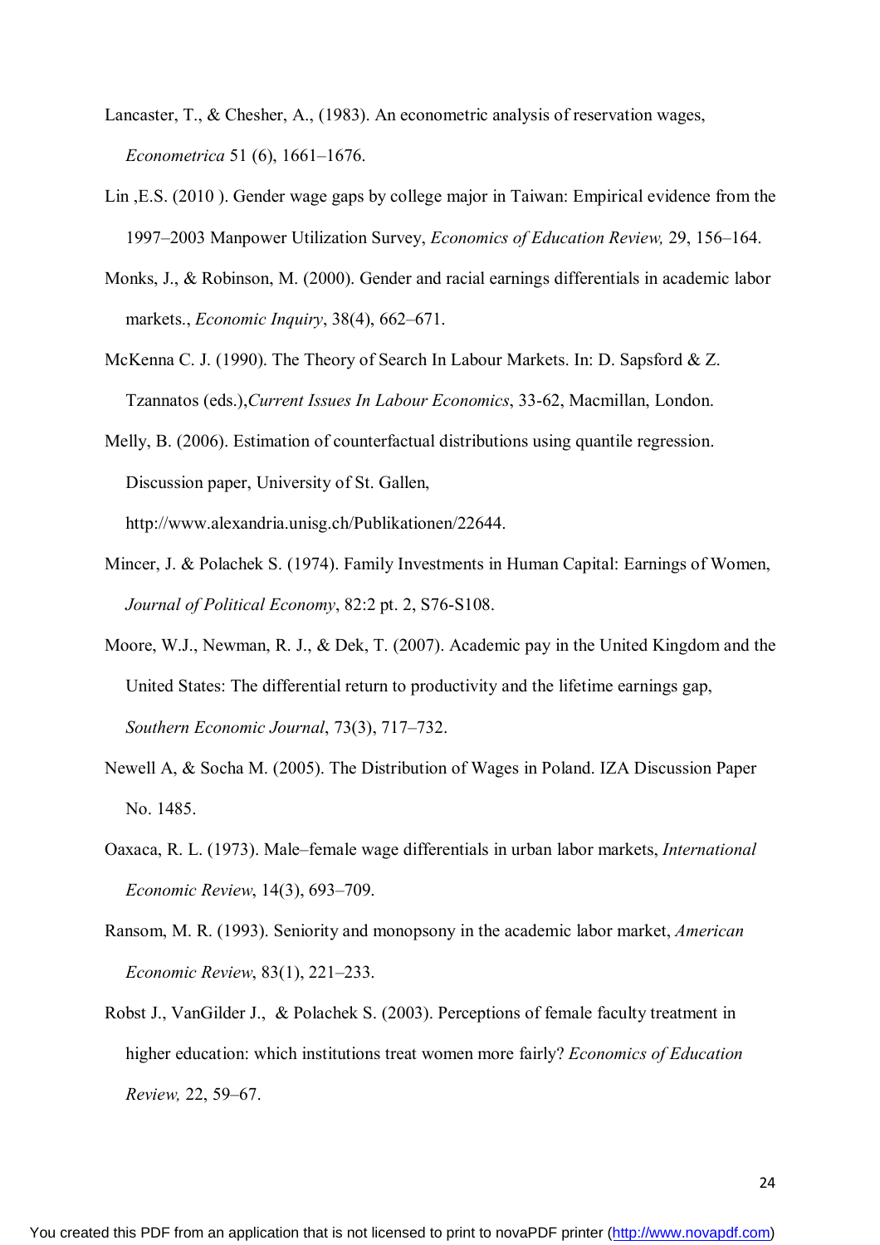- Lancaster, T., & Chesher, A., (1983). An econometric analysis of reservation wages, *Econometrica* 51 (6), 1661–1676.
- Lin ,E.S. (2010 ). Gender wage gaps by college major in Taiwan: Empirical evidence from the 1997–2003 Manpower Utilization Survey, *Economics of Education Review,* 29, 156–164.
- Monks, J., & Robinson, M. (2000). Gender and racial earnings differentials in academic labor markets., *Economic Inquiry*, 38(4), 662–671.
- McKenna C. J. (1990). The Theory of Search In Labour Markets. In: D. Sapsford & Z. Tzannatos (eds.),*Current Issues In Labour Economics*, 33-62, Macmillan, London.
- Melly, B. (2006). Estimation of counterfactual distributions using quantile regression. Discussion paper, University of St. Gallen, http://www.alexandria.unisg.ch/Publikationen/22644.
- Mincer, J. & Polachek S. (1974). Family Investments in Human Capital: Earnings of Women, *Journal of Political Economy*, 82:2 pt. 2, S76-S108.
- Moore, W.J., Newman, R. J., & Dek, T. (2007). Academic pay in the United Kingdom and the United States: The differential return to productivity and the lifetime earnings gap, *Southern Economic Journal*, 73(3), 717–732.
- Newell A, & Socha M. (2005). The Distribution of Wages in Poland. IZA Discussion Paper No. 1485.
- Oaxaca, R. L. (1973). Male–female wage differentials in urban labor markets, *International Economic Review*, 14(3), 693–709.
- Ransom, M. R. (1993). Seniority and monopsony in the academic labor market, *American Economic Review*, 83(1), 221–233.
- Robst J., VanGilder J., & Polachek S. (2003). Perceptions of female faculty treatment in higher education: which institutions treat women more fairly? *Economics of Education Review,* 22, 59–67.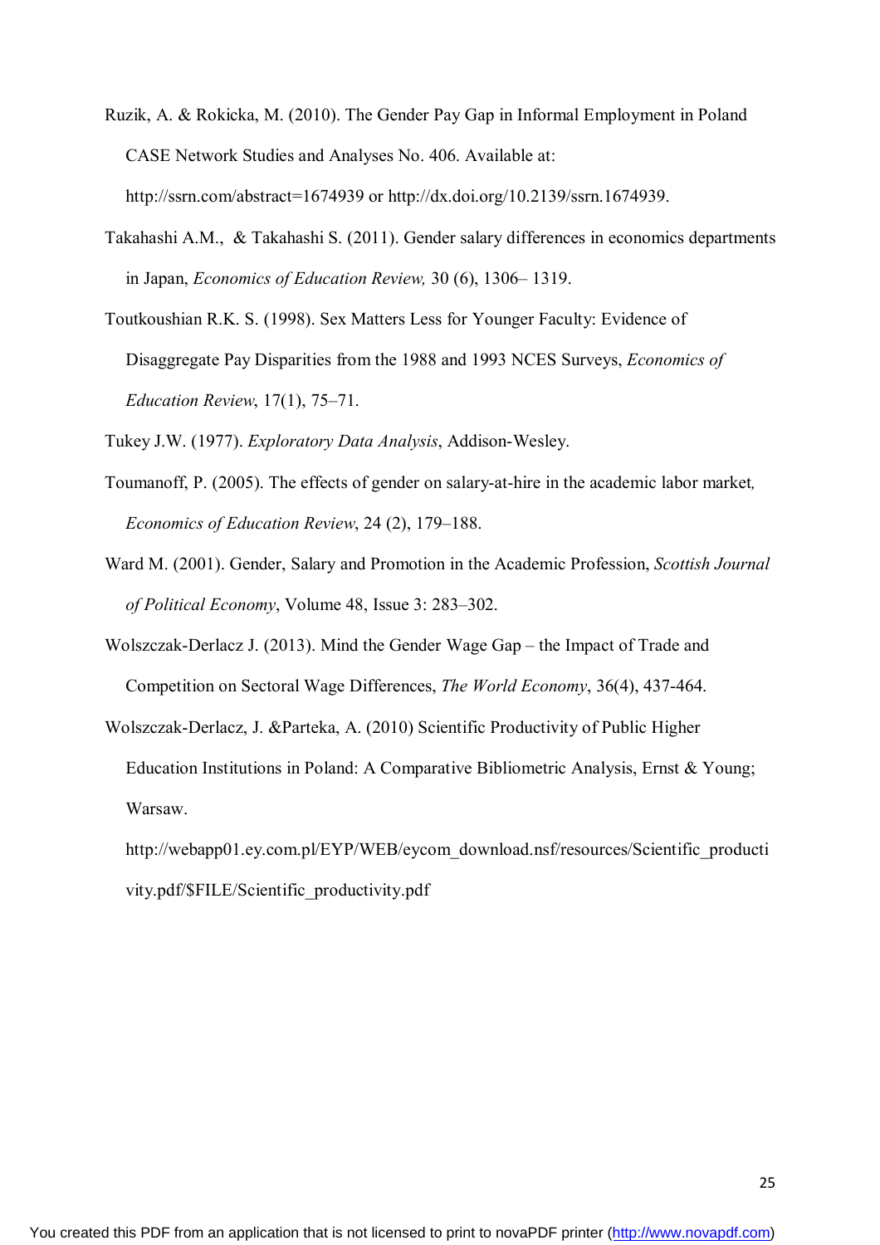- Ruzik, A. & Rokicka, M. (2010). The Gender Pay Gap in Informal Employment in Poland CASE Network Studies and Analyses No. 406. Available at: http://ssrn.com/abstract=1674939 or http://dx.doi.org/10.2139/ssrn.1674939.
- Takahashi A.M., & Takahashi S. (2011). Gender salary differences in economics departments in Japan, *Economics of Education Review,* 30 (6), 1306– 1319.
- Toutkoushian R.K. S. (1998). Sex Matters Less for Younger Faculty: Evidence of Disaggregate Pay Disparities from the 1988 and 1993 NCES Surveys, *Economics of Education Review*, 17(1), 75–71.

Tukey J.W. (1977). *Exploratory Data Analysis*, Addison-Wesley.

- Toumanoff, P. (2005). The effects of gender on salary-at-hire in the academic labor market*, Economics of Education Review*, 24 (2), 179–188.
- Ward M. (2001). Gender, Salary and Promotion in the Academic Profession, *Scottish Journal of Political Economy*, Volume 48, Issue 3: 283–302.
- Wolszczak-Derlacz J. (2013). Mind the Gender Wage Gap the Impact of Trade and Competition on Sectoral Wage Differences, *The World Economy*, 36(4), 437-464.
- Wolszczak-Derlacz, J. &Parteka, A. (2010) Scientific Productivity of Public Higher Education Institutions in Poland: A Comparative Bibliometric Analysis, Ernst & Young; Warsaw.

http://webapp01.ey.com.pl/EYP/WEB/eycom\_download.nsf/resources/Scientific\_producti vity.pdf/\$FILE/Scientific\_productivity.pdf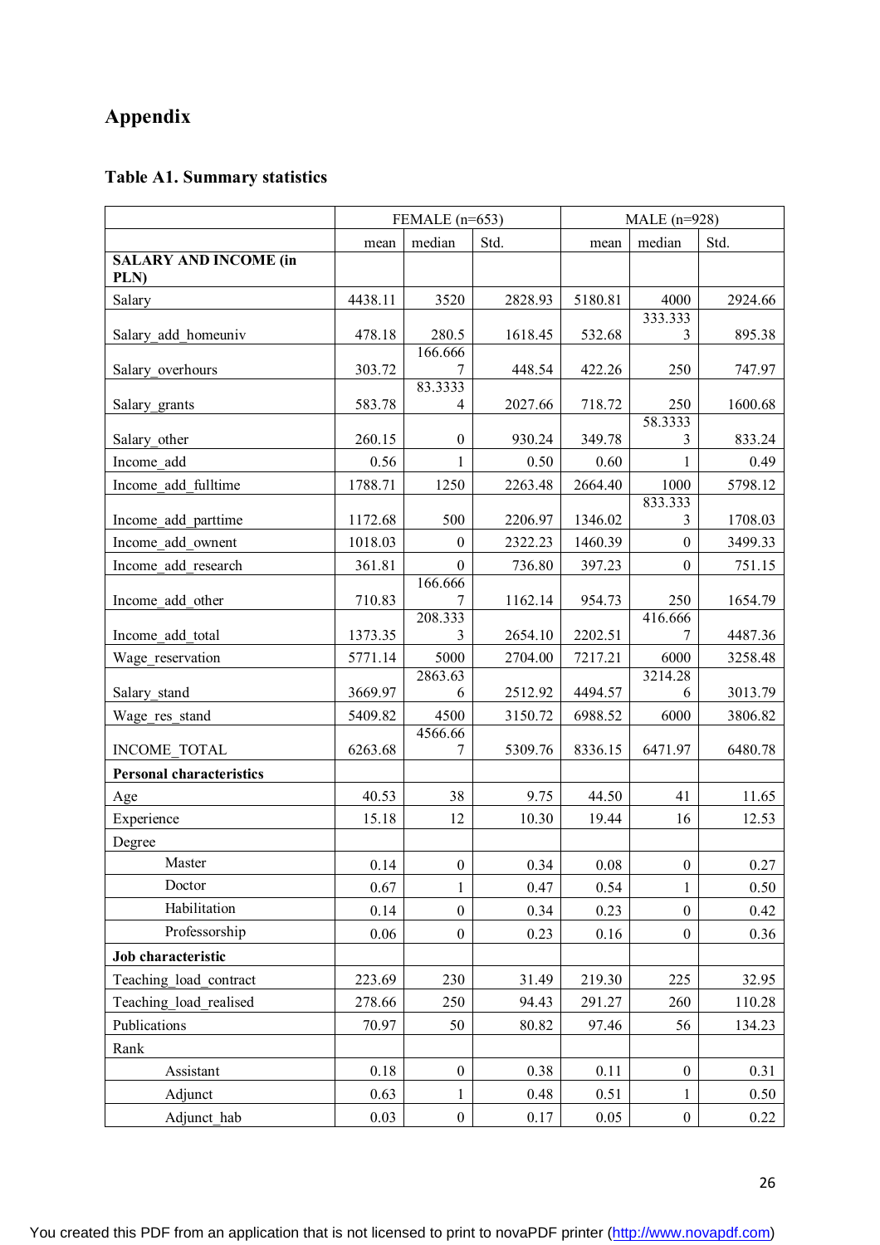# **Appendix**

## **Table A1. Summary statistics**

|                                      | FEMALE $(n=653)$ |                         |         | MALE $(n=928)$ |                  |         |
|--------------------------------------|------------------|-------------------------|---------|----------------|------------------|---------|
|                                      | mean             | median                  | Std.    | mean           | median           | Std.    |
| <b>SALARY AND INCOME (in</b><br>PLN) |                  |                         |         |                |                  |         |
| Salary                               | 4438.11          | 3520                    | 2828.93 | 5180.81        | 4000             | 2924.66 |
| Salary add homeuniv                  | 478.18           | 280.5                   | 1618.45 | 532.68         | 333.333<br>3     | 895.38  |
| Salary overhours                     | 303.72           | 166.666<br>7<br>83.3333 | 448.54  | 422.26         | 250              | 747.97  |
| Salary grants                        | 583.78           | 4                       | 2027.66 | 718.72         | 250              | 1600.68 |
| Salary other                         | 260.15           | $\boldsymbol{0}$        | 930.24  | 349.78         | 58.3333<br>3     | 833.24  |
| Income add                           | 0.56             | 1                       | 0.50    | 0.60           |                  | 0.49    |
| Income add fulltime                  | 1788.71          | 1250                    | 2263.48 | 2664.40        | 1000             | 5798.12 |
| Income add parttime                  | 1172.68          | 500                     | 2206.97 | 1346.02        | 833.333<br>3     | 1708.03 |
| Income add ownent                    | 1018.03          | $\boldsymbol{0}$        | 2322.23 | 1460.39        | $\boldsymbol{0}$ | 3499.33 |
| Income add research                  | 361.81           | $\boldsymbol{0}$        | 736.80  | 397.23         | $\mathbf{0}$     | 751.15  |
| Income add other                     | 710.83           | 166.666<br>7            | 1162.14 | 954.73         | 250              | 1654.79 |
| Income add total                     | 1373.35          | 208.333<br>3            | 2654.10 | 2202.51        | 416.666<br>7     | 4487.36 |
| Wage reservation                     | 5771.14          | 5000                    | 2704.00 | 7217.21        | 6000             | 3258.48 |
| Salary stand                         | 3669.97          | 2863.63<br>6            | 2512.92 | 4494.57        | 3214.28<br>6     | 3013.79 |
| Wage res stand                       | 5409.82          | 4500                    | 3150.72 | 6988.52        | 6000             | 3806.82 |
| <b>INCOME TOTAL</b>                  | 6263.68          | 4566.66<br>7            | 5309.76 | 8336.15        | 6471.97          | 6480.78 |
| <b>Personal characteristics</b>      |                  |                         |         |                |                  |         |
| Age                                  | 40.53            | 38                      | 9.75    | 44.50          | 41               | 11.65   |
| Experience                           | 15.18            | 12                      | 10.30   | 19.44          | 16               | 12.53   |
| Degree                               |                  |                         |         |                |                  |         |
| Master                               | 0.14             | $0\,$                   | 0.34    | $0.08\,$       | $\boldsymbol{0}$ | 0.27    |
| Doctor                               | 0.67             | $\mathbf{1}$            | 0.47    | 0.54           | $\mathbf{1}$     | 0.50    |
| Habilitation                         | 0.14             | $\mathbf{0}$            | 0.34    | 0.23           | $\boldsymbol{0}$ | 0.42    |
| Professorship                        | 0.06             | $\boldsymbol{0}$        | 0.23    | 0.16           | $\boldsymbol{0}$ | 0.36    |
| Job characteristic                   |                  |                         |         |                |                  |         |
| Teaching load contract               | 223.69           | 230                     | 31.49   | 219.30         | 225              | 32.95   |
| Teaching load realised               | 278.66           | 250                     | 94.43   | 291.27         | 260              | 110.28  |
| Publications                         | 70.97            | 50                      | 80.82   | 97.46          | 56               | 134.23  |
| Rank                                 |                  |                         |         |                |                  |         |
| Assistant                            | 0.18             | $\boldsymbol{0}$        | 0.38    | 0.11           | $\boldsymbol{0}$ | 0.31    |
| Adjunct                              | 0.63             | 1                       | 0.48    | 0.51           | 1                | 0.50    |
| Adjunct hab                          | 0.03             | $\boldsymbol{0}$        | 0.17    | 0.05           | $\boldsymbol{0}$ | 0.22    |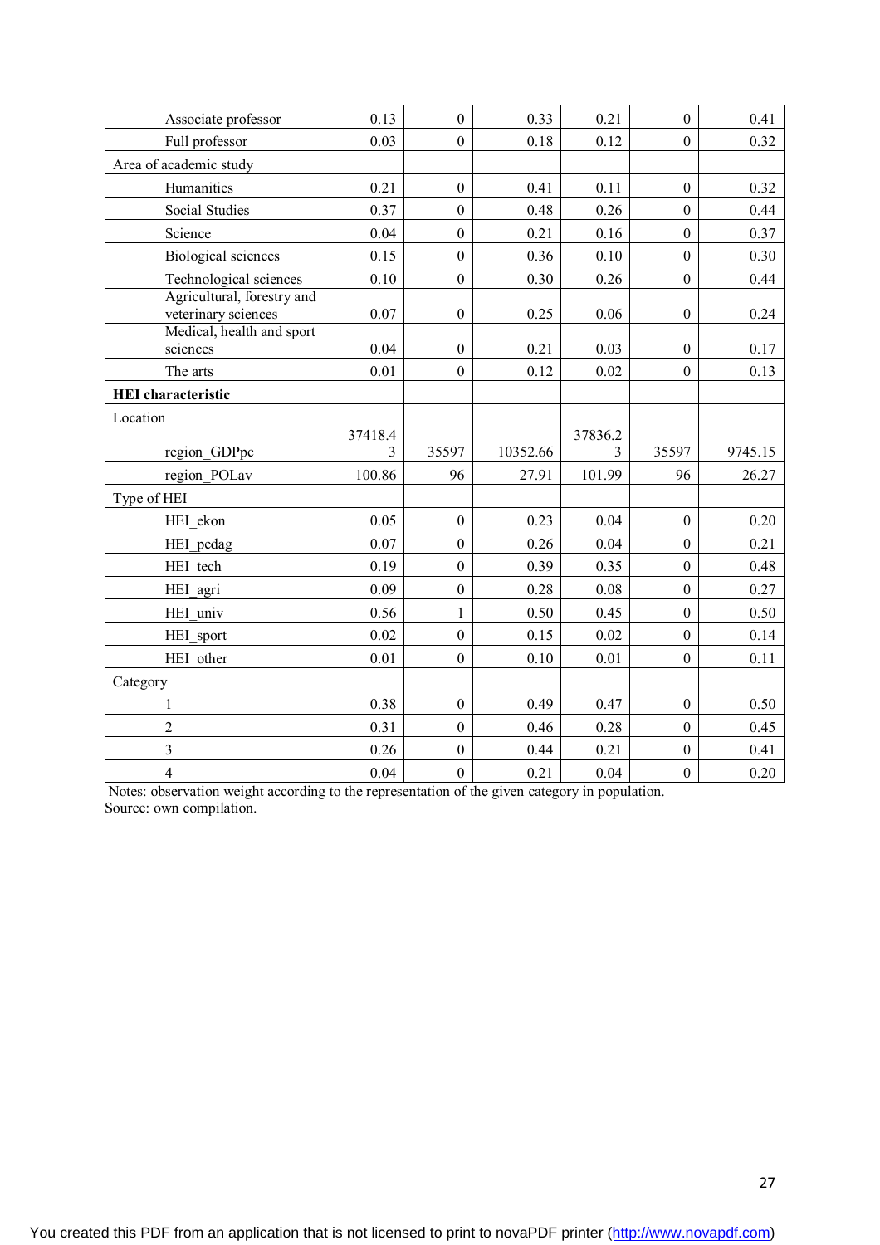| Associate professor                               | 0.13         | $\overline{0}$   | 0.33     | 0.21         | $\boldsymbol{0}$ | 0.41    |
|---------------------------------------------------|--------------|------------------|----------|--------------|------------------|---------|
| Full professor                                    | 0.03         | $\mathbf{0}$     | 0.18     | 0.12         | $\boldsymbol{0}$ | 0.32    |
| Area of academic study                            |              |                  |          |              |                  |         |
| Humanities                                        | 0.21         | $\overline{0}$   | 0.41     | 0.11         | $\boldsymbol{0}$ | 0.32    |
| <b>Social Studies</b>                             | 0.37         | $\overline{0}$   | 0.48     | 0.26         | $\boldsymbol{0}$ | 0.44    |
| Science                                           | 0.04         | $\mathbf{0}$     | 0.21     | 0.16         | $\boldsymbol{0}$ | 0.37    |
| <b>Biological sciences</b>                        | 0.15         | $\overline{0}$   | 0.36     | 0.10         | $\overline{0}$   | 0.30    |
| Technological sciences                            | 0.10         | $\overline{0}$   | 0.30     | 0.26         | $\boldsymbol{0}$ | 0.44    |
| Agricultural, forestry and<br>veterinary sciences | 0.07         | $\boldsymbol{0}$ | 0.25     | 0.06         | $\boldsymbol{0}$ | 0.24    |
| Medical, health and sport<br>sciences             | 0.04         | $\overline{0}$   | 0.21     | 0.03         | $\boldsymbol{0}$ | 0.17    |
| The arts                                          | 0.01         | $\overline{0}$   | 0.12     | 0.02         | $\boldsymbol{0}$ | 0.13    |
| <b>HEI</b> characteristic                         |              |                  |          |              |                  |         |
| Location                                          |              |                  |          |              |                  |         |
| region GDPpc                                      | 37418.4<br>3 | 35597            | 10352.66 | 37836.2<br>3 | 35597            | 9745.15 |
| region_POLav                                      | 100.86       | 96               | 27.91    | 101.99       | 96               | 26.27   |
| Type of HEI                                       |              |                  |          |              |                  |         |
| HEI ekon                                          | 0.05         | $\overline{0}$   | 0.23     | 0.04         | $\boldsymbol{0}$ | 0.20    |
| HEI pedag                                         | 0.07         | $\overline{0}$   | 0.26     | 0.04         | $\boldsymbol{0}$ | 0.21    |
| HEI tech                                          | 0.19         | $\overline{0}$   | 0.39     | 0.35         | $\boldsymbol{0}$ | 0.48    |
| HEI agri                                          | 0.09         | $\overline{0}$   | 0.28     | 0.08         | $\boldsymbol{0}$ | 0.27    |
| HEI univ                                          | 0.56         | $\mathbf{1}$     | 0.50     | 0.45         | $\boldsymbol{0}$ | 0.50    |
| HEI sport                                         | 0.02         | $\overline{0}$   | 0.15     | 0.02         | $\mathbf{0}$     | 0.14    |
| HEI other                                         | 0.01         | $\mathbf{0}$     | 0.10     | 0.01         | $\boldsymbol{0}$ | 0.11    |
| Category                                          |              |                  |          |              |                  |         |
| $\mathbf{1}$                                      | 0.38         | $\overline{0}$   | 0.49     | 0.47         | $\boldsymbol{0}$ | 0.50    |
| $\overline{c}$                                    | 0.31         | $\overline{0}$   | 0.46     | 0.28         | $\boldsymbol{0}$ | 0.45    |
|                                                   |              |                  |          |              |                  |         |
| $\overline{\mathbf{3}}$                           | 0.26         | $\overline{0}$   | 0.44     | 0.21         | $\boldsymbol{0}$ | 0.41    |

Notes: observation weight according to the representation of the given category in population. Source: own compilation.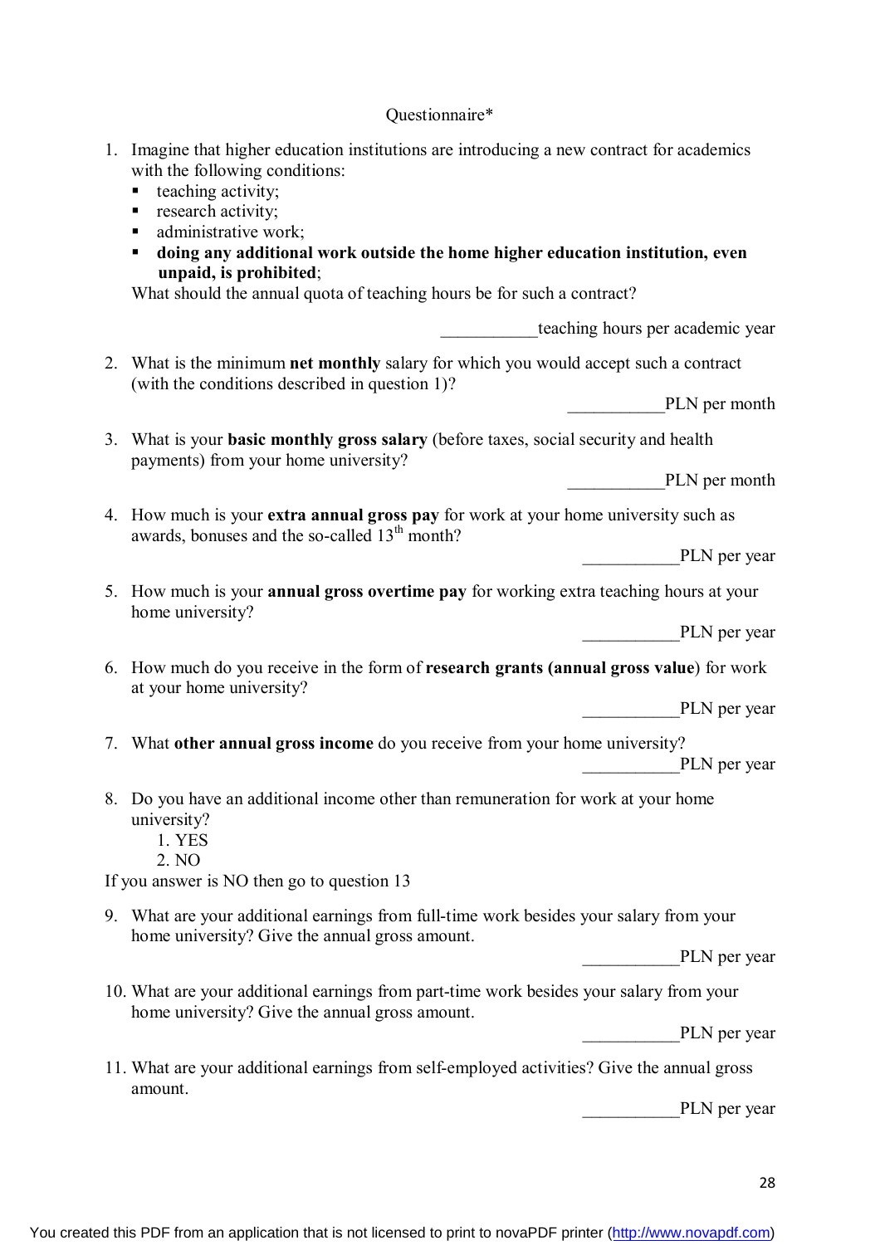## Questionnaire\*

| 1. | Imagine that higher education institutions are introducing a new contract for academics<br>with the following conditions:<br>teaching activity;<br>٠<br>research activity;<br>п<br>administrative work;<br>п<br>doing any additional work outside the home higher education institution, even<br>п<br>unpaid, is prohibited;<br>What should the annual quota of teaching hours be for such a contract? |
|----|--------------------------------------------------------------------------------------------------------------------------------------------------------------------------------------------------------------------------------------------------------------------------------------------------------------------------------------------------------------------------------------------------------|
|    | teaching hours per academic year                                                                                                                                                                                                                                                                                                                                                                       |
|    | 2. What is the minimum net monthly salary for which you would accept such a contract                                                                                                                                                                                                                                                                                                                   |
|    | (with the conditions described in question 1)?<br>PLN per month                                                                                                                                                                                                                                                                                                                                        |
|    | 3. What is your <b>basic monthly gross salary</b> (before taxes, social security and health<br>payments) from your home university?                                                                                                                                                                                                                                                                    |
|    | PLN per month                                                                                                                                                                                                                                                                                                                                                                                          |
|    | 4. How much is your extra annual gross pay for work at your home university such as                                                                                                                                                                                                                                                                                                                    |
|    | awards, bonuses and the so-called 13 <sup>th</sup> month?<br>PLN per year                                                                                                                                                                                                                                                                                                                              |
|    | 5. How much is your <b>annual gross overtime pay</b> for working extra teaching hours at your<br>home university?                                                                                                                                                                                                                                                                                      |
|    | PLN per year                                                                                                                                                                                                                                                                                                                                                                                           |
|    | 6. How much do you receive in the form of research grants (annual gross value) for work<br>at your home university?                                                                                                                                                                                                                                                                                    |
|    | PLN per year                                                                                                                                                                                                                                                                                                                                                                                           |
|    | 7. What other annual gross income do you receive from your home university?<br>PLN per year                                                                                                                                                                                                                                                                                                            |
|    | 8. Do you have an additional income other than remuneration for work at your home<br>university?<br>1. YES<br>2. NO                                                                                                                                                                                                                                                                                    |
|    | If you answer is NO then go to question 13                                                                                                                                                                                                                                                                                                                                                             |
|    | 9. What are your additional earnings from full-time work besides your salary from your<br>home university? Give the annual gross amount.                                                                                                                                                                                                                                                               |
|    | PLN per year                                                                                                                                                                                                                                                                                                                                                                                           |
|    | 10. What are your additional earnings from part-time work besides your salary from your<br>home university? Give the annual gross amount.                                                                                                                                                                                                                                                              |
|    | PLN per year                                                                                                                                                                                                                                                                                                                                                                                           |
|    | 11. What are your additional earnings from self-employed activities? Give the annual gross                                                                                                                                                                                                                                                                                                             |
|    | amount.<br>PLN per year                                                                                                                                                                                                                                                                                                                                                                                |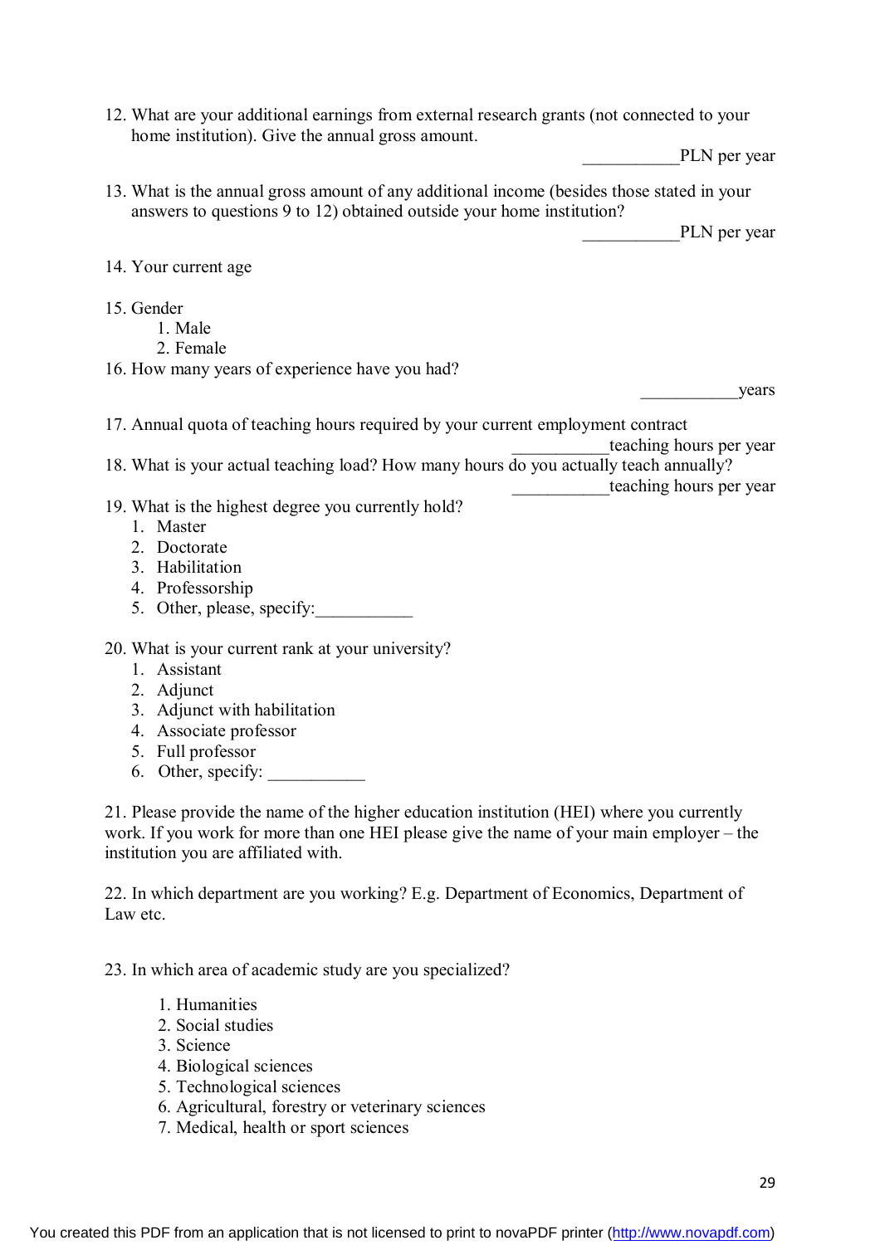12. What are your additional earnings from external research grants (not connected to your home institution). Give the annual gross amount.

PLN per year

13. What is the annual gross amount of any additional income (besides those stated in your answers to questions 9 to 12) obtained outside your home institution?

PLN per year

14. Your current age

- 15. Gender
	- 1. Male
		- 2. Female
- 16. How many years of experience have you had?

vears

17. Annual quota of teaching hours required by your current employment contract

teaching hours per year 18. What is your actual teaching load? How many hours do you actually teach annually?

- teaching hours per year
- 19. What is the highest degree you currently hold?
	- 1. Master
	- 2. Doctorate
	- 3. Habilitation
	- 4. Professorship
	- 5. Other, please, specify:
- 20. What is your current rank at your university?
	- 1. Assistant
	- 2 Adjunct
	- 3. Adjunct with habilitation
	- 4. Associate professor
	- 5. Full professor
	- 6. Other, specify:

21. Please provide the name of the higher education institution (HEI) where you currently work. If you work for more than one HEI please give the name of your main employer – the institution you are affiliated with.

22. In which department are you working? E.g. Department of Economics, Department of Law etc.

23. In which area of academic study are you specialized?

- 1. Humanities
- 2. Social studies
- 3. Science
- 4. Biological sciences
- 5. Technological sciences
- 6. Agricultural, forestry or veterinary sciences
- 7. Medical, health or sport sciences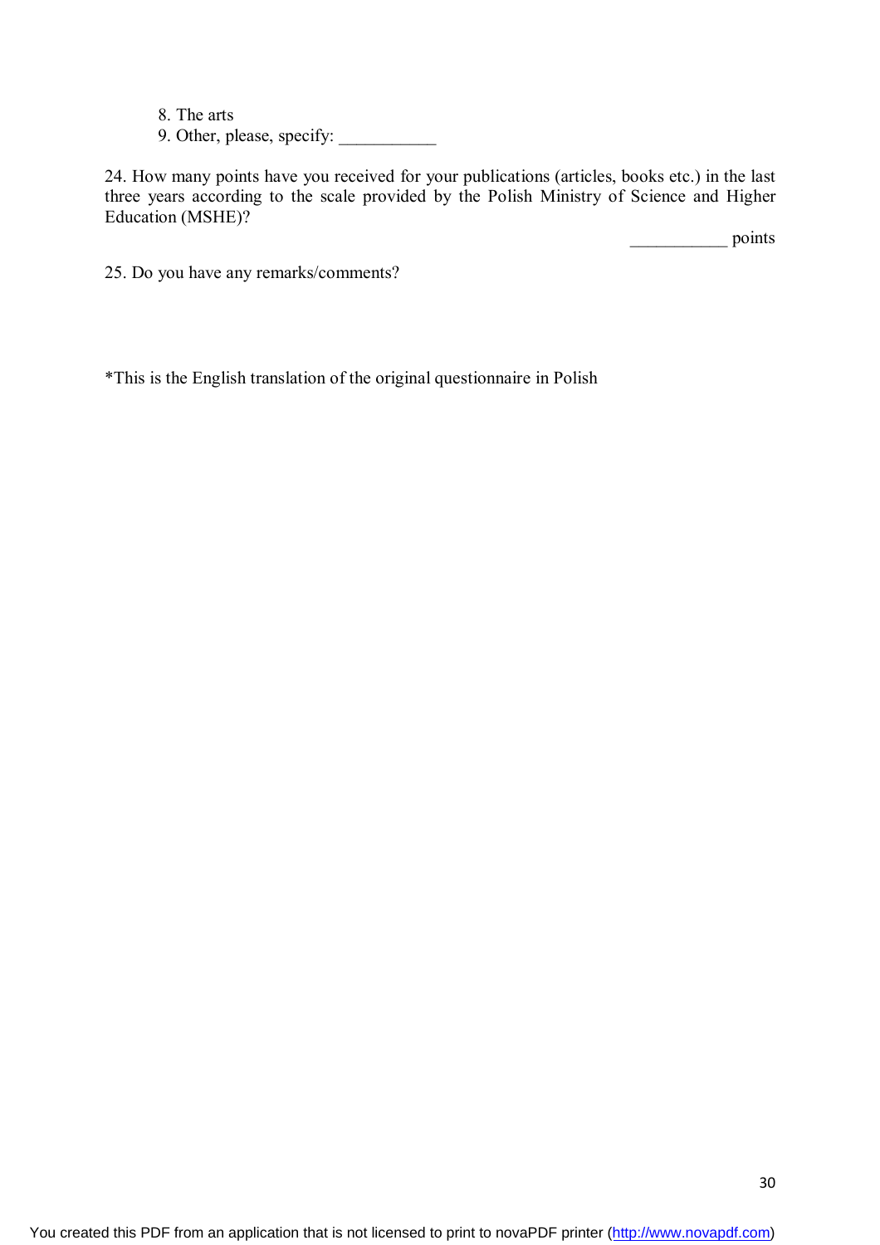- 8. The arts
- 9. Other, please, specify: \_\_\_\_\_\_\_\_\_\_\_

24. How many points have you received for your publications (articles, books etc.) in the last three years according to the scale provided by the Polish Ministry of Science and Higher Education (MSHE)?

\_\_\_\_\_\_\_\_\_\_\_ points

25. Do you have any remarks/comments?

\*This is the English translation of the original questionnaire in Polish